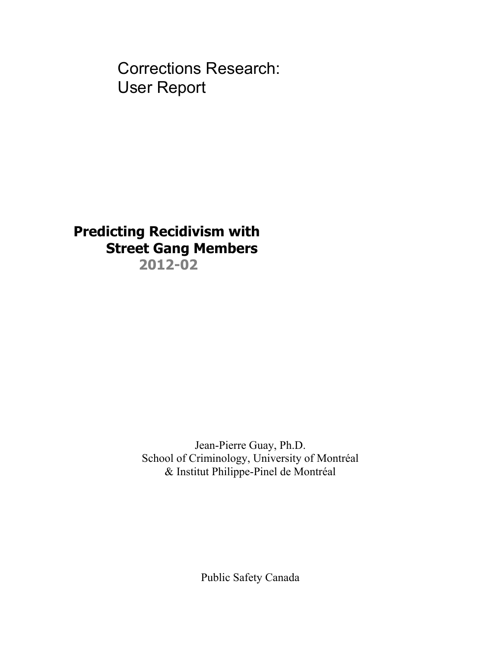Corrections Research: User Report

# **Predicting Recidivism with Street Gang Members 2012-02**

Jean-Pierre Guay, Ph.D. School of Criminology, University of Montréal & Institut Philippe-Pinel de Montréal

Public Safety Canada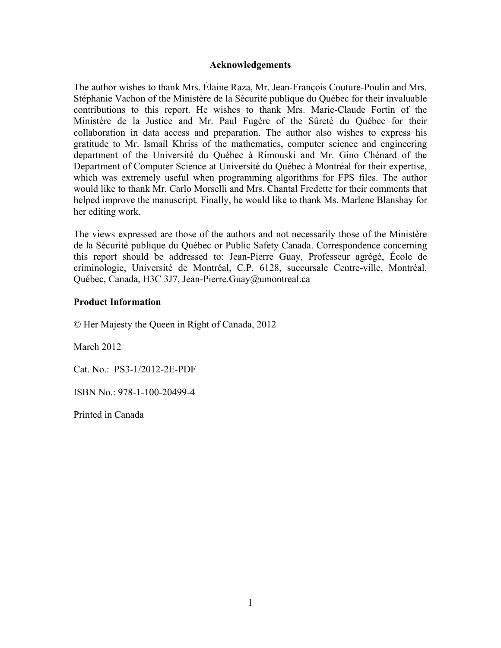## **Acknowledgements**

The author wishes to thank Mrs. Élaine Raza, Mr. Jean-François Couture-Poulin and Mrs. Stéphanie Vachon of the Ministère de la Sécurité publique du Québec for their invaluable contributions to this report. He wishes to thank Mrs. Marie-Claude Fortin of the Ministère de la Justice and Mr. Paul Fugère of the Sûreté du Québec for their collaboration in data access and preparation. The author also wishes to express his gratitude to Mr. Ismaïl Khriss of the mathematics, computer science and engineering department of the Université du Québec à Rimouski and Mr. Gino Chénard of the Department of Computer Science at Université du Québec à Montréal for their expertise, which was extremely useful when programming algorithms for FPS files. The author would like to thank Mr. Carlo Morselli and Mrs. Chantal Fredette for their comments that helped improve the manuscript. Finally, he would like to thank Ms. Marlene Blanshay for her editing work.

The views expressed are those of the authors and not necessarily those of the Ministère de la Sécurité publique du Québec or Public Safety Canada. Correspondence concerning this report should be addressed to: Jean-Pierre Guay, Professeur agrégé, École de criminologie, Université de Montréal, C.P. 6128, succursale Centre-ville, Montréal, Québec, Canada, H3C 3J7, Jean-Pierre.Guay@umontreal.ca

## **Product Information**

© Her Majesty the Queen in Right of Canada, 2012

March 2012

Cat. No.: PS3-1/2012-2E-PDF

ISBN No.: 978-1-100-20499-4

Printed in Canada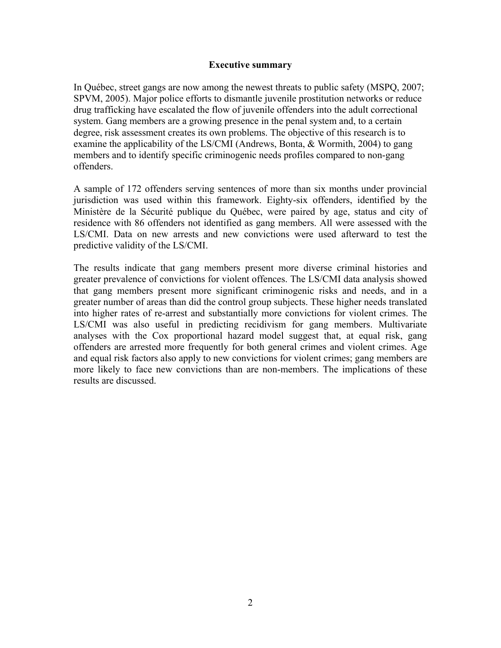### **Executive summary**

In Québec, street gangs are now among the newest threats to public safety (MSPQ, 2007; SPVM, 2005). Major police efforts to dismantle juvenile prostitution networks or reduce drug trafficking have escalated the flow of juvenile offenders into the adult correctional system. Gang members are a growing presence in the penal system and, to a certain degree, risk assessment creates its own problems. The objective of this research is to examine the applicability of the LS/CMI (Andrews, Bonta, & Wormith, 2004) to gang members and to identify specific criminogenic needs profiles compared to non-gang offenders.

A sample of 172 offenders serving sentences of more than six months under provincial jurisdiction was used within this framework. Eighty-six offenders, identified by the Ministère de la Sécurité publique du Québec, were paired by age, status and city of residence with 86 offenders not identified as gang members. All were assessed with the LS/CMI. Data on new arrests and new convictions were used afterward to test the predictive validity of the LS/CMI.

The results indicate that gang members present more diverse criminal histories and greater prevalence of convictions for violent offences. The LS/CMI data analysis showed that gang members present more significant criminogenic risks and needs, and in a greater number of areas than did the control group subjects. These higher needs translated into higher rates of re-arrest and substantially more convictions for violent crimes. The LS/CMI was also useful in predicting recidivism for gang members. Multivariate analyses with the Cox proportional hazard model suggest that, at equal risk, gang offenders are arrested more frequently for both general crimes and violent crimes. Age and equal risk factors also apply to new convictions for violent crimes; gang members are more likely to face new convictions than are non-members. The implications of these results are discussed.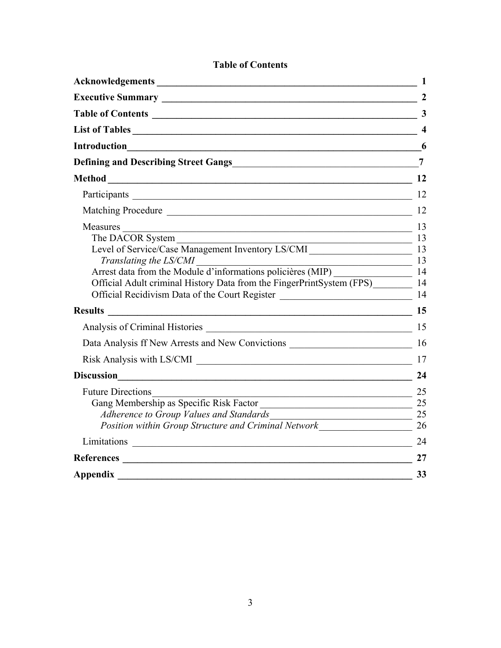|                                                                                                                                                                                                                                                                                                                                | 1                |
|--------------------------------------------------------------------------------------------------------------------------------------------------------------------------------------------------------------------------------------------------------------------------------------------------------------------------------|------------------|
|                                                                                                                                                                                                                                                                                                                                | 2                |
| Table of Contents 23                                                                                                                                                                                                                                                                                                           |                  |
| List of Tables                                                                                                                                                                                                                                                                                                                 | $\boldsymbol{4}$ |
| <b>Introduction</b><br><u> 1989 - Johann Stoff, deutscher Stoffen und der Stoffen und der Stoffen und der Stoffen und der Stoffen und d</u>                                                                                                                                                                                    | 6                |
|                                                                                                                                                                                                                                                                                                                                | $\overline{7}$   |
| <b>Method</b><br>$\sim$ 12                                                                                                                                                                                                                                                                                                     |                  |
|                                                                                                                                                                                                                                                                                                                                | 12               |
| Matching Procedure 12                                                                                                                                                                                                                                                                                                          |                  |
| Measures 13<br>The DACOR System 13<br>Level of Service/Case Management Inventory LS/CMI 13<br>Translating the LS/CMI<br>Arrest data from the Module d'informations policières (MIP)<br>14<br>Official Adult criminal History Data from the FingerPrintSystem (FPS)<br><b>Results</b><br>Analysis of Criminal Histories 2014 15 | -14              |
|                                                                                                                                                                                                                                                                                                                                | 24               |
| $\overline{\phantom{a}}$ 25<br><b>Future Directions</b><br>Gang Membership as Specific Risk Factor $\frac{25}{25}$<br>$\begin{array}{c c} \hline \text{---} & \text{---} \\ \hline \end{array}$<br>Adherence to Group Values and Standards                                                                                     |                  |
|                                                                                                                                                                                                                                                                                                                                | 24               |
| References Participation and the contract of the contract of the contract of the contract of the contract of the contract of the contract of the contract of the contract of the contract of the contract of the contract of t                                                                                                 | 27               |
| <b>Appendix</b>                                                                                                                                                                                                                                                                                                                | 33               |

## **Table of Contents**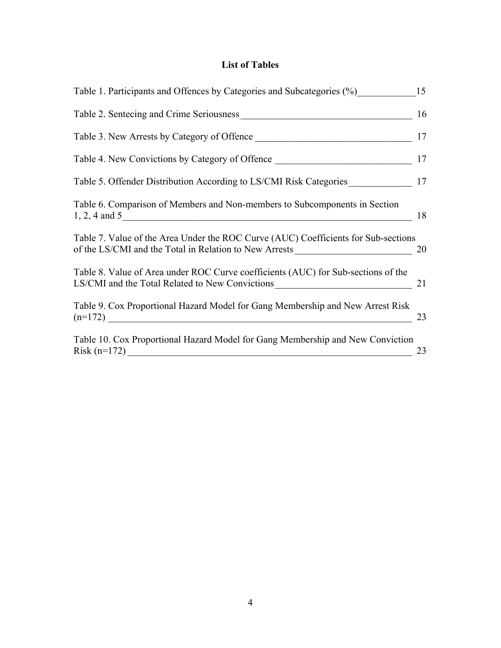# **List of Tables**

| Table 1. Participants and Offences by Categories and Subcategories (%) 15                                                                    |    |
|----------------------------------------------------------------------------------------------------------------------------------------------|----|
| Table 2. Sentecing and Crime Seriousness                                                                                                     | 16 |
| Table 3. New Arrests by Category of Offence                                                                                                  | 17 |
| Table 4. New Convictions by Category of Offence 17                                                                                           |    |
| Table 5. Offender Distribution According to LS/CMI Risk Categories 17                                                                        |    |
| Table 6. Comparison of Members and Non-members to Subcomponents in Section<br>$1, 2, 4$ and $5$                                              | 18 |
| Table 7. Value of the Area Under the ROC Curve (AUC) Coefficients for Sub-sections<br>of the LS/CMI and the Total in Relation to New Arrests | 20 |
| Table 8. Value of Area under ROC Curve coefficients (AUC) for Sub-sections of the<br>LS/CMI and the Total Related to New Convictions         | 21 |
| Table 9. Cox Proportional Hazard Model for Gang Membership and New Arrest Risk                                                               | 23 |
| Table 10. Cox Proportional Hazard Model for Gang Membership and New Conviction                                                               | 23 |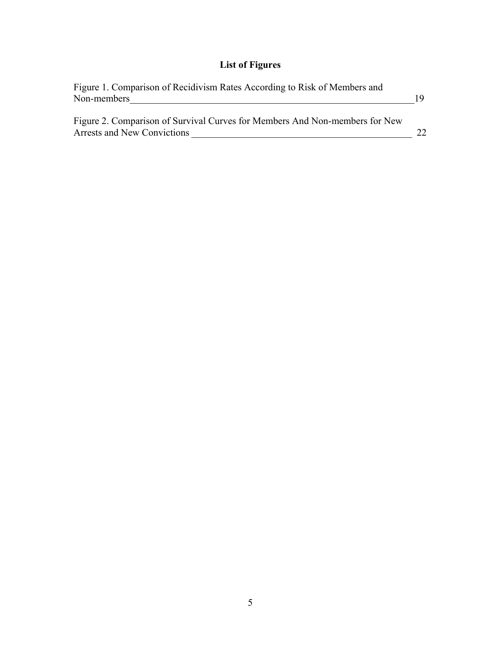# **List of Figures**

| Figure 1. Comparison of Recidivism Rates According to Risk of Members and<br>Non-members                   |  |
|------------------------------------------------------------------------------------------------------------|--|
| Figure 2. Comparison of Survival Curves for Members And Non-members for New<br>Arrests and New Convictions |  |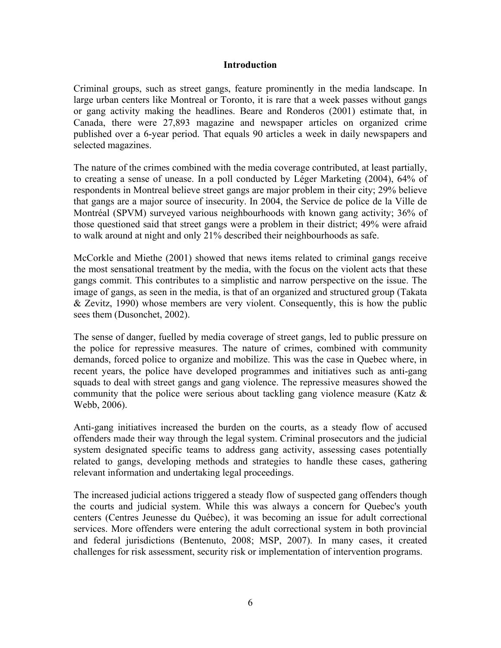## **Introduction**

Criminal groups, such as street gangs, feature prominently in the media landscape. In large urban centers like Montreal or Toronto, it is rare that a week passes without gangs or gang activity making the headlines. Beare and Ronderos (2001) estimate that, in Canada, there were 27,893 magazine and newspaper articles on organized crime published over a 6-year period. That equals 90 articles a week in daily newspapers and selected magazines.

The nature of the crimes combined with the media coverage contributed, at least partially, to creating a sense of unease. In a poll conducted by Léger Marketing (2004), 64% of respondents in Montreal believe street gangs are major problem in their city; 29% believe that gangs are a major source of insecurity. In 2004, the Service de police de la Ville de Montréal (SPVM) surveyed various neighbourhoods with known gang activity; 36% of those questioned said that street gangs were a problem in their district; 49% were afraid to walk around at night and only 21% described their neighbourhoods as safe.

McCorkle and Miethe (2001) showed that news items related to criminal gangs receive the most sensational treatment by the media, with the focus on the violent acts that these gangs commit. This contributes to a simplistic and narrow perspective on the issue. The image of gangs, as seen in the media, is that of an organized and structured group (Takata & Zevitz, 1990) whose members are very violent. Consequently, this is how the public sees them (Dusonchet, 2002).

The sense of danger, fuelled by media coverage of street gangs, led to public pressure on the police for repressive measures. The nature of crimes, combined with community demands, forced police to organize and mobilize. This was the case in Quebec where, in recent years, the police have developed programmes and initiatives such as anti-gang squads to deal with street gangs and gang violence. The repressive measures showed the community that the police were serious about tackling gang violence measure (Katz & Webb, 2006).

Anti-gang initiatives increased the burden on the courts, as a steady flow of accused offenders made their way through the legal system. Criminal prosecutors and the judicial system designated specific teams to address gang activity, assessing cases potentially related to gangs, developing methods and strategies to handle these cases, gathering relevant information and undertaking legal proceedings.

The increased judicial actions triggered a steady flow of suspected gang offenders though the courts and judicial system. While this was always a concern for Quebec's youth centers (Centres Jeunesse du Québec), it was becoming an issue for adult correctional services. More offenders were entering the adult correctional system in both provincial and federal jurisdictions (Bentenuto, 2008; MSP, 2007). In many cases, it created challenges for risk assessment, security risk or implementation of intervention programs.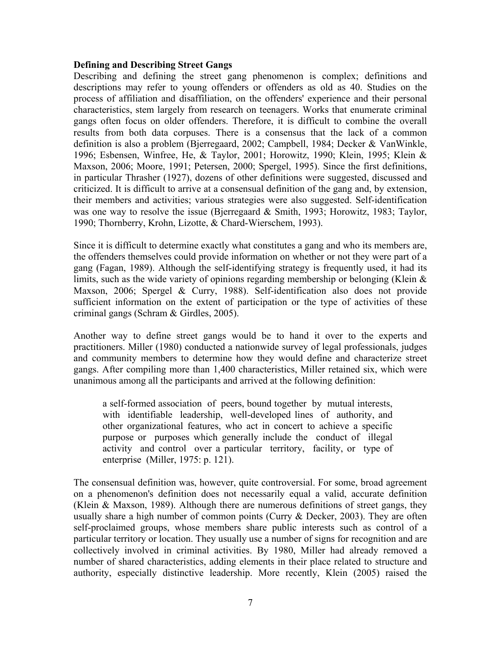## **Defining and Describing Street Gangs**

Describing and defining the street gang phenomenon is complex; definitions and descriptions may refer to young offenders or offenders as old as 40. Studies on the process of affiliation and disaffiliation, on the offenders' experience and their personal characteristics, stem largely from research on teenagers. Works that enumerate criminal gangs often focus on older offenders. Therefore, it is difficult to combine the overall results from both data corpuses. There is a consensus that the lack of a common definition is also a problem (Bjerregaard, 2002; Campbell, 1984; Decker & VanWinkle, 1996; Esbensen, Winfree, He, & Taylor, 2001; Horowitz, 1990; Klein, 1995; Klein & Maxson, 2006; Moore, 1991; Petersen, 2000; Spergel, 1995). Since the first definitions, in particular Thrasher (1927), dozens of other definitions were suggested, discussed and criticized. It is difficult to arrive at a consensual definition of the gang and, by extension, their members and activities; various strategies were also suggested. Self-identification was one way to resolve the issue (Bjerregaard & Smith, 1993; Horowitz, 1983; Taylor, 1990; Thornberry, Krohn, Lizotte, & Chard-Wierschem, 1993).

Since it is difficult to determine exactly what constitutes a gang and who its members are, the offenders themselves could provide information on whether or not they were part of a gang (Fagan, 1989). Although the self-identifying strategy is frequently used, it had its limits, such as the wide variety of opinions regarding membership or belonging (Klein  $\&$ Maxson, 2006; Spergel & Curry, 1988). Self-identification also does not provide sufficient information on the extent of participation or the type of activities of these criminal gangs (Schram & Girdles, 2005).

Another way to define street gangs would be to hand it over to the experts and practitioners. Miller (1980) conducted a nationwide survey of legal professionals, judges and community members to determine how they would define and characterize street gangs. After compiling more than 1,400 characteristics, Miller retained six, which were unanimous among all the participants and arrived at the following definition:

a self-formed association of peers, bound together by mutual interests, with identifiable leadership, well-developed lines of authority, and other organizational features, who act in concert to achieve a specific purpose or purposes which generally include the conduct of illegal activity and control over a particular territory, facility, or type of enterprise (Miller, 1975: p. 121).

The consensual definition was, however, quite controversial. For some, broad agreement on a phenomenon's definition does not necessarily equal a valid, accurate definition (Klein & Maxson, 1989). Although there are numerous definitions of street gangs, they usually share a high number of common points (Curry & Decker, 2003). They are often self-proclaimed groups, whose members share public interests such as control of a particular territory or location. They usually use a number of signs for recognition and are collectively involved in criminal activities. By 1980, Miller had already removed a number of shared characteristics, adding elements in their place related to structure and authority, especially distinctive leadership. More recently, Klein (2005) raised the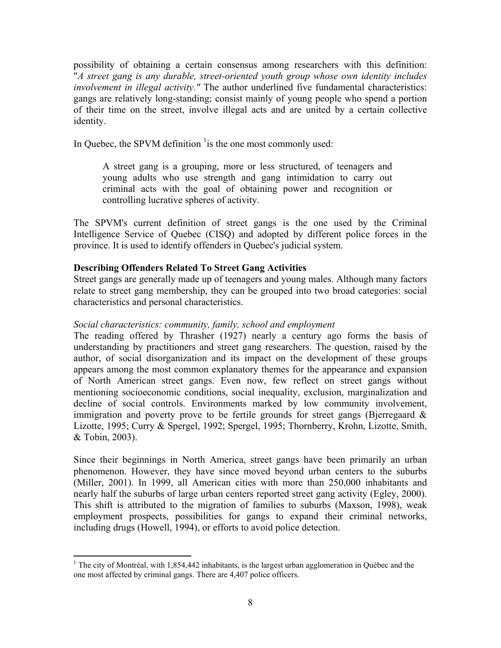possibility of obtaining a certain consensus among researchers with this definition: "*A street gang is any durable, street-oriented youth group whose own identity includes involvement in illegal activity."* The author underlined five fundamental characteristics: gangs are relatively long-standing; consist mainly of young people who spend a portion of their time on the street, involve illegal acts and are united by a certain collective identity.

In Quebec, the SPVM definition  $\frac{1}{1}$  is the one most commonly used:

A street gang is a grouping, more or less structured, of teenagers and young adults who use strength and gang intimidation to carry out criminal acts with the goal of obtaining power and recognition or controlling lucrative spheres of activity.

The SPVM's current definition of street gangs is the one used by the Criminal Intelligence Service of Quebec (CISQ) and adopted by different police forces in the province. It is used to identify offenders in Quebec's judicial system.

## **Describing Offenders Related To Street Gang Activities**

Street gangs are generally made up of teenagers and young males. Although many factors relate to street gang membership, they can be grouped into two broad categories: social characteristics and personal characteristics.

### *Social characteristics: community, family, school and employment*

The reading offered by Thrasher (1927) nearly a century ago forms the basis of understanding by practitioners and street gang researchers. The question, raised by the author, of social disorganization and its impact on the development of these groups appears among the most common explanatory themes for the appearance and expansion of North American street gangs. Even now, few reflect on street gangs without mentioning socioeconomic conditions, social inequality, exclusion, marginalization and decline of social controls. Environments marked by low community involvement, immigration and poverty prove to be fertile grounds for street gangs (Bjerregaard  $\&$ Lizotte, 1995; Curry & Spergel, 1992; Spergel, 1995; Thornberry, Krohn, Lizotte, Smith, & Tobin, 2003).

Since their beginnings in North America, street gangs have been primarily an urban phenomenon. However, they have since moved beyond urban centers to the suburbs (Miller, 2001). In 1999, all American cities with more than 250,000 inhabitants and nearly half the suburbs of large urban centers reported street gang activity (Egley, 2000). This shift is attributed to the migration of families to suburbs (Maxson, 1998), weak employment prospects, possibilities for gangs to expand their criminal networks, including drugs (Howell, 1994), or efforts to avoid police detection.

<sup>&</sup>lt;sup>1</sup> The city of Montréal, with 1,854,442 inhabitants, is the largest urban agglomeration in Québec and the one most affected by criminal gangs. There are 4,407 police officers.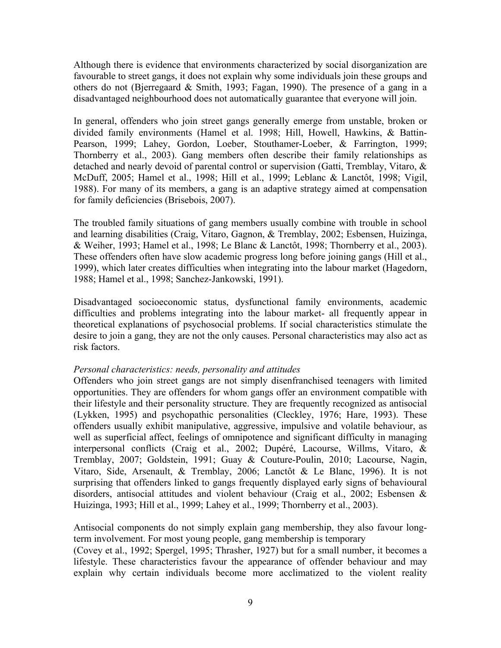Although there is evidence that environments characterized by social disorganization are favourable to street gangs, it does not explain why some individuals join these groups and others do not (Bjerregaard & Smith, 1993; Fagan, 1990). The presence of a gang in a disadvantaged neighbourhood does not automatically guarantee that everyone will join.

In general, offenders who join street gangs generally emerge from unstable, broken or divided family environments (Hamel et al. 1998; Hill, Howell, Hawkins, & Battin-Pearson, 1999; Lahey, Gordon, Loeber, Stouthamer-Loeber, & Farrington, 1999; Thornberry et al., 2003). Gang members often describe their family relationships as detached and nearly devoid of parental control or supervision (Gatti, Tremblay, Vitaro, & McDuff, 2005; Hamel et al., 1998; Hill et al., 1999; Leblanc & Lanctôt, 1998; Vigil, 1988). For many of its members, a gang is an adaptive strategy aimed at compensation for family deficiencies (Brisebois, 2007).

The troubled family situations of gang members usually combine with trouble in school and learning disabilities (Craig, Vitaro, Gagnon, & Tremblay, 2002; Esbensen, Huizinga, & Weiher, 1993; Hamel et al., 1998; Le Blanc & Lanctôt, 1998; Thornberry et al., 2003). These offenders often have slow academic progress long before joining gangs (Hill et al., 1999), which later creates difficulties when integrating into the labour market (Hagedorn, 1988; Hamel et al., 1998; Sanchez-Jankowski, 1991).

Disadvantaged socioeconomic status, dysfunctional family environments, academic difficulties and problems integrating into the labour market- all frequently appear in theoretical explanations of psychosocial problems. If social characteristics stimulate the desire to join a gang, they are not the only causes. Personal characteristics may also act as risk factors.

### *Personal characteristics: needs, personality and attitudes*

Offenders who join street gangs are not simply disenfranchised teenagers with limited opportunities. They are offenders for whom gangs offer an environment compatible with their lifestyle and their personality structure. They are frequently recognized as antisocial (Lykken, 1995) and psychopathic personalities (Cleckley, 1976; Hare, 1993). These offenders usually exhibit manipulative, aggressive, impulsive and volatile behaviour, as well as superficial affect, feelings of omnipotence and significant difficulty in managing interpersonal conflicts (Craig et al., 2002; Dupéré, Lacourse, Willms, Vitaro, & Tremblay, 2007; Goldstein, 1991; Guay & Couture-Poulin, 2010; Lacourse, Nagin, Vitaro, Side, Arsenault, & Tremblay, 2006; Lanctôt & Le Blanc, 1996). It is not surprising that offenders linked to gangs frequently displayed early signs of behavioural disorders, antisocial attitudes and violent behaviour (Craig et al., 2002; Esbensen & Huizinga, 1993; Hill et al., 1999; Lahey et al., 1999; Thornberry et al., 2003).

Antisocial components do not simply explain gang membership, they also favour longterm involvement. For most young people, gang membership is temporary

(Covey et al., 1992; Spergel, 1995; Thrasher, 1927) but for a small number, it becomes a lifestyle. These characteristics favour the appearance of offender behaviour and may explain why certain individuals become more acclimatized to the violent reality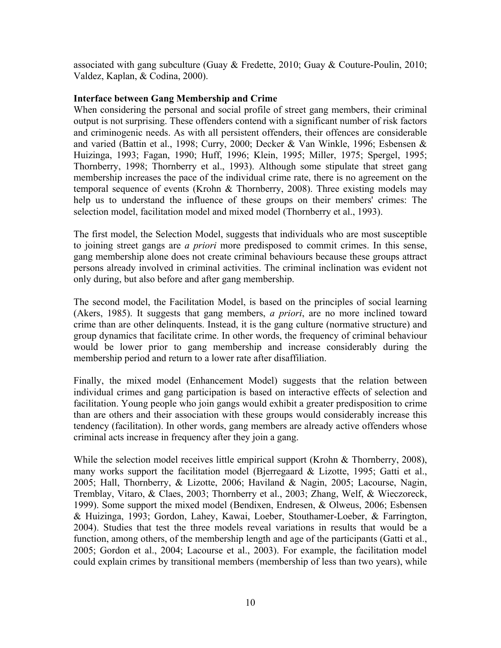associated with gang subculture (Guay & Fredette, 2010; Guay & Couture-Poulin, 2010; Valdez, Kaplan, & Codina, 2000).

## **Interface between Gang Membership and Crime**

When considering the personal and social profile of street gang members, their criminal output is not surprising. These offenders contend with a significant number of risk factors and criminogenic needs. As with all persistent offenders, their offences are considerable and varied (Battin et al., 1998; Curry, 2000; Decker & Van Winkle, 1996; Esbensen & Huizinga, 1993; Fagan, 1990; Huff, 1996; Klein, 1995; Miller, 1975; Spergel, 1995; Thornberry, 1998; Thornberry et al., 1993). Although some stipulate that street gang membership increases the pace of the individual crime rate, there is no agreement on the temporal sequence of events (Krohn & Thornberry, 2008). Three existing models may help us to understand the influence of these groups on their members' crimes: The selection model, facilitation model and mixed model (Thornberry et al., 1993).

The first model, the Selection Model, suggests that individuals who are most susceptible to joining street gangs are *a priori* more predisposed to commit crimes. In this sense, gang membership alone does not create criminal behaviours because these groups attract persons already involved in criminal activities. The criminal inclination was evident not only during, but also before and after gang membership.

The second model, the Facilitation Model, is based on the principles of social learning (Akers, 1985). It suggests that gang members, *a priori*, are no more inclined toward crime than are other delinquents. Instead, it is the gang culture (normative structure) and group dynamics that facilitate crime. In other words, the frequency of criminal behaviour would be lower prior to gang membership and increase considerably during the membership period and return to a lower rate after disaffiliation.

Finally, the mixed model (Enhancement Model) suggests that the relation between individual crimes and gang participation is based on interactive effects of selection and facilitation. Young people who join gangs would exhibit a greater predisposition to crime than are others and their association with these groups would considerably increase this tendency (facilitation). In other words, gang members are already active offenders whose criminal acts increase in frequency after they join a gang.

While the selection model receives little empirical support (Krohn & Thornberry, 2008), many works support the facilitation model (Bjerregaard & Lizotte, 1995; Gatti et al., 2005; Hall, Thornberry, & Lizotte, 2006; Haviland & Nagin, 2005; Lacourse, Nagin, Tremblay, Vitaro, & Claes, 2003; Thornberry et al., 2003; Zhang, Welf, & Wieczoreck, 1999). Some support the mixed model (Bendixen, Endresen, & Olweus, 2006; Esbensen & Huizinga, 1993; Gordon, Lahey, Kawai, Loeber, Stouthamer-Loeber, & Farrington, 2004). Studies that test the three models reveal variations in results that would be a function, among others, of the membership length and age of the participants (Gatti et al., 2005; Gordon et al., 2004; Lacourse et al., 2003). For example, the facilitation model could explain crimes by transitional members (membership of less than two years), while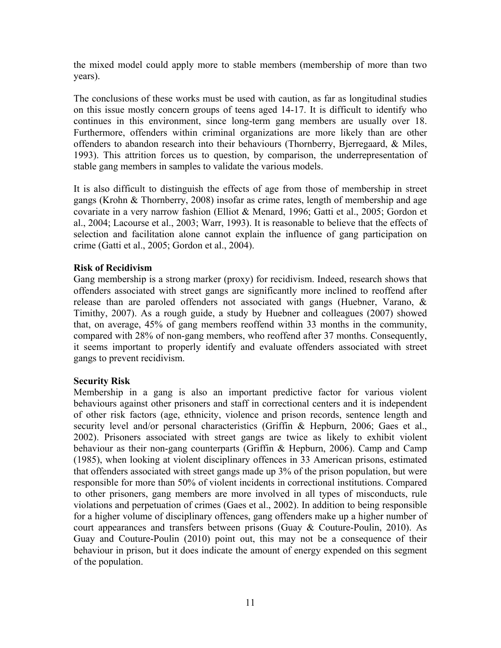the mixed model could apply more to stable members (membership of more than two years).

The conclusions of these works must be used with caution, as far as longitudinal studies on this issue mostly concern groups of teens aged 14-17. It is difficult to identify who continues in this environment, since long-term gang members are usually over 18. Furthermore, offenders within criminal organizations are more likely than are other offenders to abandon research into their behaviours (Thornberry, Bjerregaard, & Miles, 1993). This attrition forces us to question, by comparison, the underrepresentation of stable gang members in samples to validate the various models.

It is also difficult to distinguish the effects of age from those of membership in street gangs (Krohn & Thornberry, 2008) insofar as crime rates, length of membership and age covariate in a very narrow fashion (Elliot & Menard, 1996; Gatti et al., 2005; Gordon et al., 2004; Lacourse et al., 2003; Warr, 1993). It is reasonable to believe that the effects of selection and facilitation alone cannot explain the influence of gang participation on crime (Gatti et al., 2005; Gordon et al., 2004).

## **Risk of Recidivism**

Gang membership is a strong marker (proxy) for recidivism. Indeed, research shows that offenders associated with street gangs are significantly more inclined to reoffend after release than are paroled offenders not associated with gangs (Huebner, Varano, & Timithy, 2007). As a rough guide, a study by Huebner and colleagues (2007) showed that, on average, 45% of gang members reoffend within 33 months in the community, compared with 28% of non-gang members, who reoffend after 37 months. Consequently, it seems important to properly identify and evaluate offenders associated with street gangs to prevent recidivism.

## **Security Risk**

Membership in a gang is also an important predictive factor for various violent behaviours against other prisoners and staff in correctional centers and it is independent of other risk factors (age, ethnicity, violence and prison records, sentence length and security level and/or personal characteristics (Griffin & Hepburn, 2006; Gaes et al., 2002). Prisoners associated with street gangs are twice as likely to exhibit violent behaviour as their non-gang counterparts (Griffin & Hepburn, 2006). Camp and Camp (1985), when looking at violent disciplinary offences in 33 American prisons, estimated that offenders associated with street gangs made up 3% of the prison population, but were responsible for more than 50% of violent incidents in correctional institutions. Compared to other prisoners, gang members are more involved in all types of misconducts, rule violations and perpetuation of crimes (Gaes et al., 2002). In addition to being responsible for a higher volume of disciplinary offences, gang offenders make up a higher number of court appearances and transfers between prisons (Guay & Couture-Poulin, 2010). As Guay and Couture-Poulin (2010) point out, this may not be a consequence of their behaviour in prison, but it does indicate the amount of energy expended on this segment of the population.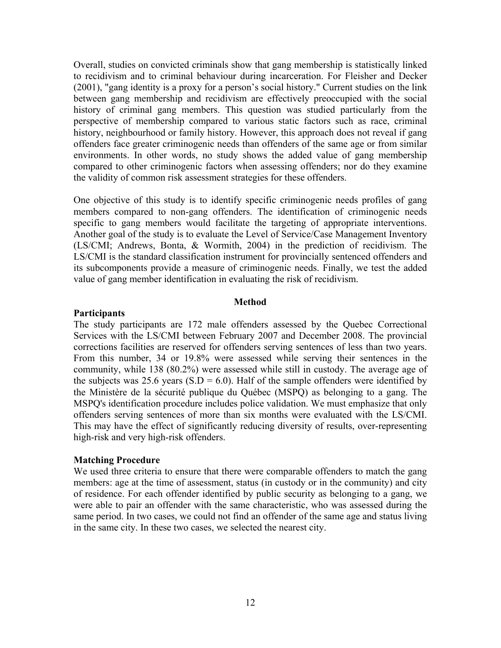Overall, studies on convicted criminals show that gang membership is statistically linked to recidivism and to criminal behaviour during incarceration. For Fleisher and Decker (2001), "gang identity is a proxy for a person's social history." Current studies on the link between gang membership and recidivism are effectively preoccupied with the social history of criminal gang members. This question was studied particularly from the perspective of membership compared to various static factors such as race, criminal history, neighbourhood or family history. However, this approach does not reveal if gang offenders face greater criminogenic needs than offenders of the same age or from similar environments. In other words, no study shows the added value of gang membership compared to other criminogenic factors when assessing offenders; nor do they examine the validity of common risk assessment strategies for these offenders.

One objective of this study is to identify specific criminogenic needs profiles of gang members compared to non-gang offenders. The identification of criminogenic needs specific to gang members would facilitate the targeting of appropriate interventions. Another goal of the study is to evaluate the Level of Service/Case Management Inventory (LS/CMI; Andrews, Bonta, & Wormith, 2004) in the prediction of recidivism. The LS/CMI is the standard classification instrument for provincially sentenced offenders and its subcomponents provide a measure of criminogenic needs. Finally, we test the added value of gang member identification in evaluating the risk of recidivism.

#### **Method**

#### **Participants**

The study participants are 172 male offenders assessed by the Quebec Correctional Services with the LS/CMI between February 2007 and December 2008. The provincial corrections facilities are reserved for offenders serving sentences of less than two years. From this number, 34 or 19.8% were assessed while serving their sentences in the community, while 138 (80.2%) were assessed while still in custody. The average age of the subjects was 25.6 years  $(S.D = 6.0)$ . Half of the sample offenders were identified by the Ministère de la sécurité publique du Québec (MSPQ) as belonging to a gang. The MSPQ's identification procedure includes police validation. We must emphasize that only offenders serving sentences of more than six months were evaluated with the LS/CMI. This may have the effect of significantly reducing diversity of results, over-representing high-risk and very high-risk offenders.

#### **Matching Procedure**

We used three criteria to ensure that there were comparable offenders to match the gang members: age at the time of assessment, status (in custody or in the community) and city of residence. For each offender identified by public security as belonging to a gang, we were able to pair an offender with the same characteristic, who was assessed during the same period. In two cases, we could not find an offender of the same age and status living in the same city. In these two cases, we selected the nearest city.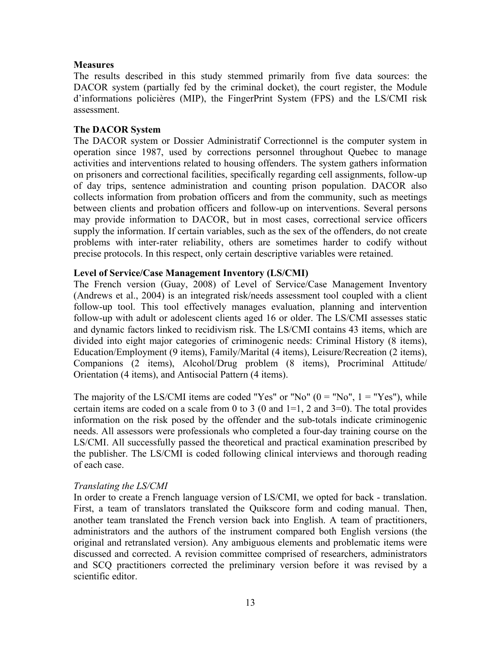## **Measures**

The results described in this study stemmed primarily from five data sources: the DACOR system (partially fed by the criminal docket), the court register, the Module d'informations policières (MIP), the FingerPrint System (FPS) and the LS/CMI risk assessment.

## **The DACOR System**

The DACOR system or Dossier Administratif Correctionnel is the computer system in operation since 1987, used by corrections personnel throughout Quebec to manage activities and interventions related to housing offenders. The system gathers information on prisoners and correctional facilities, specifically regarding cell assignments, follow-up of day trips, sentence administration and counting prison population. DACOR also collects information from probation officers and from the community, such as meetings between clients and probation officers and follow-up on interventions. Several persons may provide information to DACOR, but in most cases, correctional service officers supply the information. If certain variables, such as the sex of the offenders, do not create problems with inter-rater reliability, others are sometimes harder to codify without precise protocols. In this respect, only certain descriptive variables were retained.

## **Level of Service/Case Management Inventory (LS/CMI)**

The French version (Guay, 2008) of Level of Service/Case Management Inventory (Andrews et al., 2004) is an integrated risk/needs assessment tool coupled with a client follow-up tool. This tool effectively manages evaluation, planning and intervention follow-up with adult or adolescent clients aged 16 or older. The LS/CMI assesses static and dynamic factors linked to recidivism risk. The LS/CMI contains 43 items, which are divided into eight major categories of criminogenic needs: Criminal History (8 items), Education/Employment (9 items), Family/Marital (4 items), Leisure/Recreation (2 items), Companions (2 items), Alcohol/Drug problem (8 items), Procriminal Attitude/ Orientation (4 items), and Antisocial Pattern (4 items).

The majority of the LS/CMI items are coded "Yes" or "No"  $(0 = "No", 1 = "Yes"),$  while certain items are coded on a scale from 0 to 3 (0 and  $1=1$ , 2 and  $3=0$ ). The total provides information on the risk posed by the offender and the sub-totals indicate criminogenic needs. All assessors were professionals who completed a four-day training course on the LS/CMI. All successfully passed the theoretical and practical examination prescribed by the publisher. The LS/CMI is coded following clinical interviews and thorough reading of each case.

## *Translating the LS/CMI*

In order to create a French language version of LS/CMI, we opted for back - translation. First, a team of translators translated the Quikscore form and coding manual. Then, another team translated the French version back into English. A team of practitioners, administrators and the authors of the instrument compared both English versions (the original and retranslated version). Any ambiguous elements and problematic items were discussed and corrected. A revision committee comprised of researchers, administrators and SCQ practitioners corrected the preliminary version before it was revised by a scientific editor.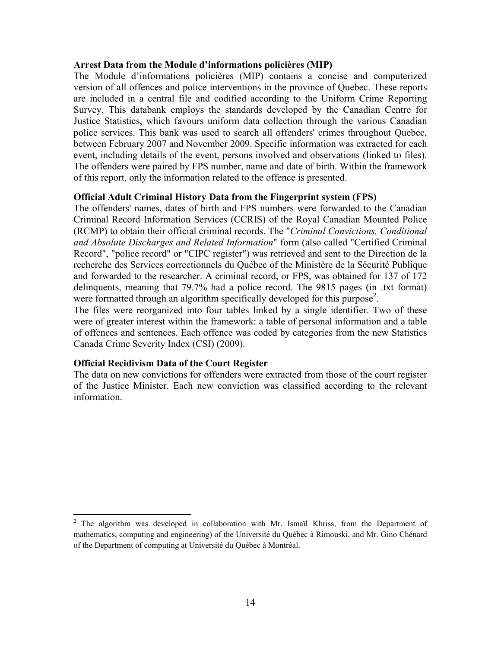#### **Arrest Data from the Module d'informations policières (MIP)**

The Module d'informations policières (MIP) contains a concise and computerized version of all offences and police interventions in the province of Quebec. These reports are included in a central file and codified according to the Uniform Crime Reporting Survey. This databank employs the standards developed by the Canadian Centre for Justice Statistics, which favours uniform data collection through the various Canadian police services. This bank was used to search all offenders' crimes throughout Quebec, between February 2007 and November 2009. Specific information was extracted for each event, including details of the event, persons involved and observations (linked to files). The offenders were paired by FPS number, name and date of birth. Within the framework of this report, only the information related to the offence is presented.

#### **Official Adult Criminal History Data from the Fingerprint system (FPS)**

The offenders' names, dates of birth and FPS numbers were forwarded to the Canadian Criminal Record Information Services (CCRIS) of the Royal Canadian Mounted Police (RCMP) to obtain their official criminal records. The "*Criminal Convictions, Conditional and Absolute Discharges and Related Information*" form (also called "Certified Criminal Record", "police record" or "CIPC register") was retrieved and sent to the Direction de la recherche des Services correctionnels du Québec of the Ministère de la Sécurité Publique and forwarded to the researcher. A criminal record, or FPS, was obtained for 137 of 172 delinquents, meaning that 79.7% had a police record. The 9815 pages (in .txt format) were formatted through an algorithm specifically developed for this purpose<sup>2</sup>.

The files were reorganized into four tables linked by a single identifier. Two of these were of greater interest within the framework: a table of personal information and a table of offences and sentences. Each offence was coded by categories from the new Statistics Canada Crime Severity Index (CSI) (2009).

### **Official Recidivism Data of the Court Register**

The data on new convictions for offenders were extracted from those of the court register of the Justice Minister. Each new conviction was classified according to the relevant information.

<sup>&</sup>lt;sup>2</sup> The algorithm was developed in collaboration with Mr. Ismaïl Khriss, from the Department of mathematics, computing and engineering) of the Université du Québec à Rimouski, and Mr. Gino Chénard of the Department of computing at Université du Québec à Montréal.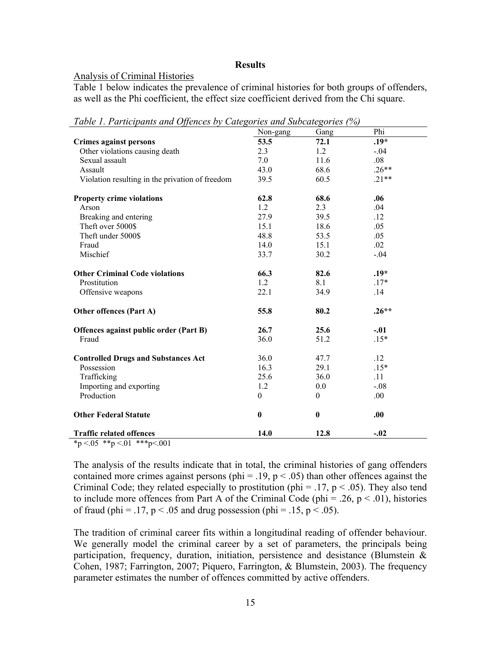### **Results**

### Analysis of Criminal Histories

Table 1 below indicates the prevalence of criminal histories for both groups of offenders, as well as the Phi coefficient, the effect size coefficient derived from the Chi square.

*Table 1. Participants and Offences by Categories and Subcategories (%)* 

|                                                                                                | Non-gang | Gang         | Phi     |  |
|------------------------------------------------------------------------------------------------|----------|--------------|---------|--|
| <b>Crimes against persons</b>                                                                  | 53.5     | 72.1         | $.19*$  |  |
| Other violations causing death                                                                 | 2.3      | 1.2          | $-.04$  |  |
| Sexual assault                                                                                 | 7.0      | 11.6         | .08     |  |
| Assault                                                                                        | 43.0     | 68.6         | $.26**$ |  |
| Violation resulting in the privation of freedom                                                | 39.5     | 60.5         | $.21**$ |  |
| <b>Property crime violations</b>                                                               | 62.8     | 68.6         | .06     |  |
| Arson                                                                                          | 1.2      | 2.3          | .04     |  |
| Breaking and entering                                                                          | 27.9     | 39.5         | .12     |  |
| Theft over 5000\$                                                                              | 15.1     | 18.6         | .05     |  |
| Theft under 5000\$                                                                             | 48.8     | 53.5         | .05     |  |
| Fraud                                                                                          | 14.0     | 15.1         | .02     |  |
| Mischief                                                                                       | 33.7     | 30.2         | $-.04$  |  |
| <b>Other Criminal Code violations</b>                                                          | 66.3     | 82.6         | $.19*$  |  |
| Prostitution                                                                                   | 1.2      | 8.1          | $.17*$  |  |
| Offensive weapons                                                                              | 22.1     | 34.9         | .14     |  |
| Other offences (Part A)                                                                        | 55.8     | 80.2         | $.26**$ |  |
| Offences against public order (Part B)                                                         | 26.7     | 25.6         | $-.01$  |  |
| Fraud                                                                                          | 36.0     | 51.2         | $.15*$  |  |
| <b>Controlled Drugs and Substances Act</b>                                                     | 36.0     | 47.7         | .12     |  |
| Possession                                                                                     | 16.3     | 29.1         | $.15*$  |  |
| Trafficking                                                                                    | 25.6     | 36.0         | .11     |  |
| Importing and exporting                                                                        | 1.2      | 0.0          | $-.08$  |  |
| Production                                                                                     | $\theta$ | $\mathbf{0}$ | .00.    |  |
| <b>Other Federal Statute</b>                                                                   | $\bf{0}$ | $\bf{0}$     | .00     |  |
| <b>Traffic related offences</b><br>$\Lambda = 0$ and $\Lambda = 0$ and $\Lambda = 0$ .<br>.001 | 14.0     | 12.8         | $-.02$  |  |

 $\frac{*p < 0.05 \cdot *p < 0.01 \cdot * *p < 0.001}{*}$ 

The analysis of the results indicate that in total, the criminal histories of gang offenders contained more crimes against persons (phi = .19,  $p < .05$ ) than other offences against the Criminal Code; they related especially to prostitution (phi = .17,  $p < .05$ ). They also tend to include more offences from Part A of the Criminal Code (phi = .26,  $p < .01$ ), histories of fraud (phi = .17,  $p < .05$  and drug possession (phi = .15,  $p < .05$ ).

The tradition of criminal career fits within a longitudinal reading of offender behaviour. We generally model the criminal career by a set of parameters, the principals being participation, frequency, duration, initiation, persistence and desistance (Blumstein & Cohen, 1987; Farrington, 2007; Piquero, Farrington, & Blumstein, 2003). The frequency parameter estimates the number of offences committed by active offenders.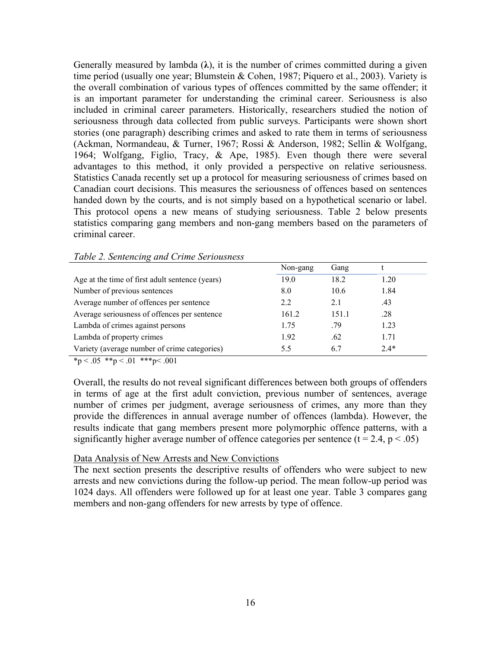Generally measured by lambda  $(\lambda)$ , it is the number of crimes committed during a given time period (usually one year; Blumstein & Cohen, 1987; Piquero et al., 2003). Variety is the overall combination of various types of offences committed by the same offender; it is an important parameter for understanding the criminal career. Seriousness is also included in criminal career parameters. Historically, researchers studied the notion of seriousness through data collected from public surveys. Participants were shown short stories (one paragraph) describing crimes and asked to rate them in terms of seriousness (Ackman, Normandeau, & Turner, 1967; Rossi & Anderson, 1982; Sellin & Wolfgang, 1964; Wolfgang, Figlio, Tracy, & Ape, 1985). Even though there were several advantages to this method, it only provided a perspective on relative seriousness. Statistics Canada recently set up a protocol for measuring seriousness of crimes based on Canadian court decisions. This measures the seriousness of offences based on sentences handed down by the courts, and is not simply based on a hypothetical scenario or label. This protocol opens a new means of studying seriousness. Table 2 below presents statistics comparing gang members and non-gang members based on the parameters of criminal career.

|                                                 | Non-gang      | Gang  |        |  |
|-------------------------------------------------|---------------|-------|--------|--|
| Age at the time of first adult sentence (years) | 19.0          | 18.2  | 1.20   |  |
| Number of previous sentences                    | 8.0           | 10.6  | 1.84   |  |
| Average number of offences per sentence         | $2.2^{\circ}$ | 2.1   | .43    |  |
| Average seriousness of offences per sentence    | 161.2         | 151.1 | .28    |  |
| Lambda of crimes against persons                | 1.75          | .79   | 1.23   |  |
| Lambda of property crimes                       | 1.92          | .62   | 1.71   |  |
| Variety (average number of crime categories)    | 5.5           | 6.7   | $2.4*$ |  |
|                                                 |               |       |        |  |

#### *Table 2. Sentencing and Crime Seriousness*

 $*_{p} < .05$   $*_{p} < .01$   $*_{p} < .001$ 

Overall, the results do not reveal significant differences between both groups of offenders in terms of age at the first adult conviction, previous number of sentences, average number of crimes per judgment, average seriousness of crimes, any more than they provide the differences in annual average number of offences (lambda). However, the results indicate that gang members present more polymorphic offence patterns, with a significantly higher average number of offence categories per sentence  $(t = 2.4, p < .05)$ 

### Data Analysis of New Arrests and New Convictions

The next section presents the descriptive results of offenders who were subject to new arrests and new convictions during the follow-up period. The mean follow-up period was 1024 days. All offenders were followed up for at least one year. Table 3 compares gang members and non-gang offenders for new arrests by type of offence.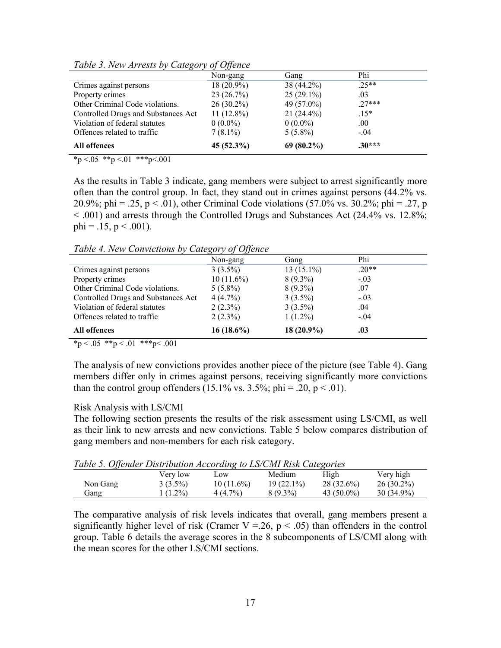|                                     | $\sim$ $\sim$ $\sim$<br>Non-gang | Gang         | Phi      |  |
|-------------------------------------|----------------------------------|--------------|----------|--|
| Crimes against persons              | $18(20.9\%)$                     | 38 (44.2%)   | $.25**$  |  |
| Property crimes                     | 23(26.7%)                        | $25(29.1\%)$ | .03      |  |
| Other Criminal Code violations.     | $26(30.2\%)$                     | 49 (57.0%)   | $27***$  |  |
| Controlled Drugs and Substances Act | $11(12.8\%)$                     | $21(24.4\%)$ | $.15*$   |  |
| Violation of federal statutes       | $0(0.0\%)$                       | $0(0.0\%)$   | .00.     |  |
| Offences related to traffic         | $7(8.1\%)$                       | $5(5.8\%)$   | $-.04$   |  |
| All offences                        | 45 (52.3%)                       | $69(80.2\%)$ | $.30***$ |  |

*Table 3. New Arrests by Category of Offence* 

 $*_{p} < 0.05$  \*\*p $< 0.01$  \*\*\*p $< 0.001$ 

As the results in Table 3 indicate, gang members were subject to arrest significantly more often than the control group. In fact, they stand out in crimes against persons (44.2% vs. 20.9%; phi = .25, p < .01), other Criminal Code violations (57.0% vs. 30.2%; phi = .27, p < .001) and arrests through the Controlled Drugs and Substances Act (24.4% vs. 12.8%; phi =  $.15$ , p <  $.001$ ).

*Table 4. New Convictions by Category of Offence* 

|                                                                                                                                               | Non-gang     | Gang         | Phi     |  |
|-----------------------------------------------------------------------------------------------------------------------------------------------|--------------|--------------|---------|--|
| Crimes against persons                                                                                                                        | $3(3.5\%)$   | $13(15.1\%)$ | $.20**$ |  |
| Property crimes                                                                                                                               | $10(11.6\%)$ | $8(9.3\%)$   | $-.03$  |  |
| Other Criminal Code violations.                                                                                                               | $5(5.8\%)$   | $8(9.3\%)$   | .07     |  |
| Controlled Drugs and Substances Act                                                                                                           | $4(4.7\%)$   | $3(3.5\%)$   | $-.03$  |  |
| Violation of federal statutes                                                                                                                 | $2(2.3\%)$   | $3(3.5\%)$   | .04     |  |
| Offences related to traffic                                                                                                                   | $2(2.3\%)$   | $1(1.2\%)$   | $-.04$  |  |
| <b>All offences</b>                                                                                                                           | $16(18.6\%)$ | 18 (20.9%)   | .03     |  |
| $\mathcal{A}$ , $\mathcal{A}$ , $\mathcal{A}$ , $\mathcal{A}$ , $\mathcal{A}$ , $\mathcal{A}$ , $\mathcal{A}$ , $\mathcal{A}$ , $\mathcal{A}$ |              |              |         |  |

 $*_{p} < .05$   $*_{p} < .01$   $*_{p} < .001$ 

The analysis of new convictions provides another piece of the picture (see Table 4). Gang members differ only in crimes against persons, receiving significantly more convictions than the control group offenders  $(15.1\% \text{ vs. } 3.5\%; \text{phi} = .20, \text{p} < .01)$ .

### Risk Analysis with LS/CMI

The following section presents the results of the risk assessment using LS/CMI, as well as their link to new arrests and new convictions. Table 5 below compares distribution of gang members and non-members for each risk category.

|  | Table 5. Offender Distribution According to LS/CMI Risk Categories |  |  |  |  |
|--|--------------------------------------------------------------------|--|--|--|--|
|--|--------------------------------------------------------------------|--|--|--|--|

| - - - - - - - - 11 - - - - - - |            |              |              |               |              |
|--------------------------------|------------|--------------|--------------|---------------|--------------|
|                                | Verv low   | $\sim$ OW    | Medium       | High          | Very high    |
| Non Gang                       | $3(3.5\%)$ | $10(11.6\%)$ | $19(22.1\%)$ | 28 (32.6%)    | $26(30.2\%)$ |
| Gang                           | $(1.2\%)$  | 4(4.7%)      | 8 (9.3%)     | 43 $(50.0\%)$ | $30(34.9\%)$ |

The comparative analysis of risk levels indicates that overall, gang members present a significantly higher level of risk (Cramer V = 26,  $p < .05$ ) than offenders in the control group. Table 6 details the average scores in the 8 subcomponents of LS/CMI along with the mean scores for the other LS/CMI sections.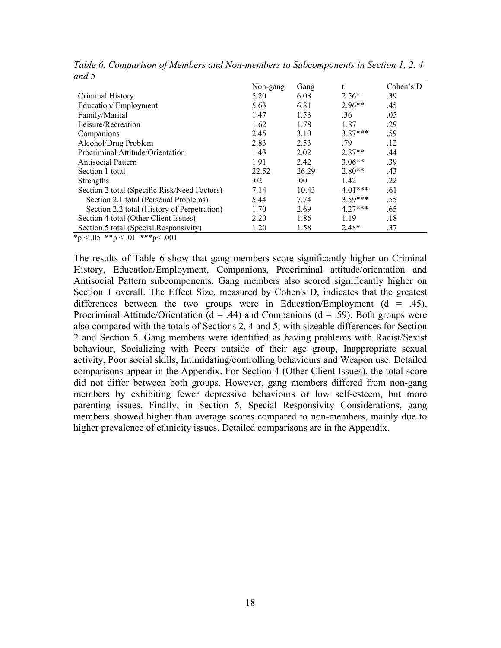|                                              | Non-gang | Gang  |           | Cohen's $D$ |
|----------------------------------------------|----------|-------|-----------|-------------|
| Criminal History                             | 5.20     | 6.08  | $2.56*$   | .39         |
| Education/Employment                         | 5.63     | 6.81  | $2.96**$  | .45         |
| Family/Marital                               | 1.47     | 1.53  | .36       | .05         |
| Leisure/Recreation                           | 1.62     | 1.78  | 1.87      | .29         |
| Companions                                   | 2.45     | 3.10  | $3.87***$ | .59         |
| Alcohol/Drug Problem                         | 2.83     | 2.53  | .79       | .12         |
| Procriminal Attitude/Orientation             | 1.43     | 2.02  | $2.87**$  | .44         |
| Antisocial Pattern                           | 1.91     | 2.42  | $3.06**$  | .39         |
| Section 1 total                              | 22.52    | 26.29 | $2.80**$  | .43         |
| Strengths                                    | $.02\,$  | .00   | 1.42      | .22         |
| Section 2 total (Specific Risk/Need Factors) | 7.14     | 10.43 | $4.01***$ | .61         |
| Section 2.1 total (Personal Problems)        | 5.44     | 7.74  | $3.59***$ | .55         |
| Section 2.2 total (History of Perpetration)  | 1.70     | 2.69  | $4.27***$ | .65         |
| Section 4 total (Other Client Issues)        | 2.20     | 1.86  | 1.19      | .18         |
| Section 5 total (Special Responsivity)       | 1.20     | 1.58  | $2.48*$   | .37         |
| $\alpha = 1$                                 |          |       |           |             |

*Table 6. Comparison of Members and Non-members to Subcomponents in Section 1, 2, 4 and 5* 

 $*_p$  < .05  $*_p$  < .01  $**_p$  < .001

The results of Table 6 show that gang members score significantly higher on Criminal History, Education/Employment, Companions, Procriminal attitude/orientation and Antisocial Pattern subcomponents. Gang members also scored significantly higher on Section 1 overall. The Effect Size, measured by Cohen's D, indicates that the greatest differences between the two groups were in Education/Employment  $(d = .45)$ , Procriminal Attitude/Orientation ( $d = .44$ ) and Companions ( $d = .59$ ). Both groups were also compared with the totals of Sections 2, 4 and 5, with sizeable differences for Section 2 and Section 5. Gang members were identified as having problems with Racist/Sexist behaviour, Socializing with Peers outside of their age group, Inappropriate sexual activity, Poor social skills, Intimidating/controlling behaviours and Weapon use. Detailed comparisons appear in the Appendix. For Section 4 (Other Client Issues), the total score did not differ between both groups. However, gang members differed from non-gang members by exhibiting fewer depressive behaviours or low self-esteem, but more parenting issues. Finally, in Section 5, Special Responsivity Considerations, gang members showed higher than average scores compared to non-members, mainly due to higher prevalence of ethnicity issues. Detailed comparisons are in the Appendix.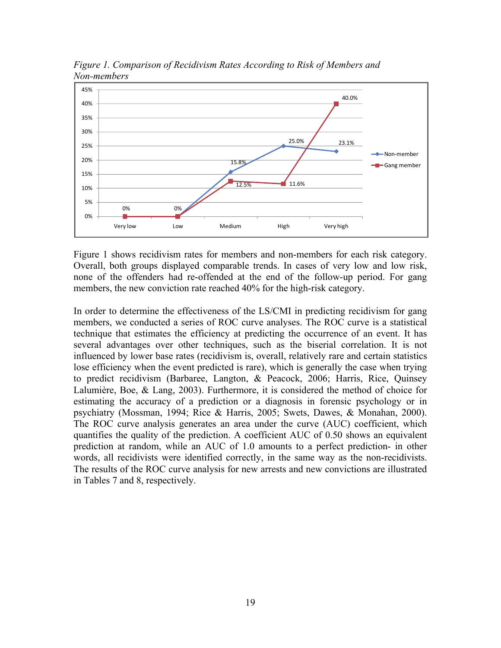

*Figure 1. Comparison of Recidivism Rates According to Risk of Members and Non-members* 

Figure 1 shows recidivism rates for members and non-members for each risk category. Overall, both groups displayed comparable trends. In cases of very low and low risk, none of the offenders had re-offended at the end of the follow-up period. For gang members, the new conviction rate reached 40% for the high-risk category.

In order to determine the effectiveness of the LS/CMI in predicting recidivism for gang members, we conducted a series of ROC curve analyses. The ROC curve is a statistical technique that estimates the efficiency at predicting the occurrence of an event. It has several advantages over other techniques, such as the biserial correlation. It is not influenced by lower base rates (recidivism is, overall, relatively rare and certain statistics lose efficiency when the event predicted is rare), which is generally the case when trying to predict recidivism (Barbaree, Langton, & Peacock, 2006; Harris, Rice, Quinsey Lalumière, Boe, & Lang, 2003). Furthermore, it is considered the method of choice for estimating the accuracy of a prediction or a diagnosis in forensic psychology or in psychiatry (Mossman, 1994; Rice & Harris, 2005; Swets, Dawes, & Monahan, 2000). The ROC curve analysis generates an area under the curve (AUC) coefficient, which quantifies the quality of the prediction. A coefficient AUC of 0.50 shows an equivalent prediction at random, while an AUC of 1.0 amounts to a perfect prediction- in other words, all recidivists were identified correctly, in the same way as the non-recidivists. The results of the ROC curve analysis for new arrests and new convictions are illustrated in Tables 7 and 8, respectively.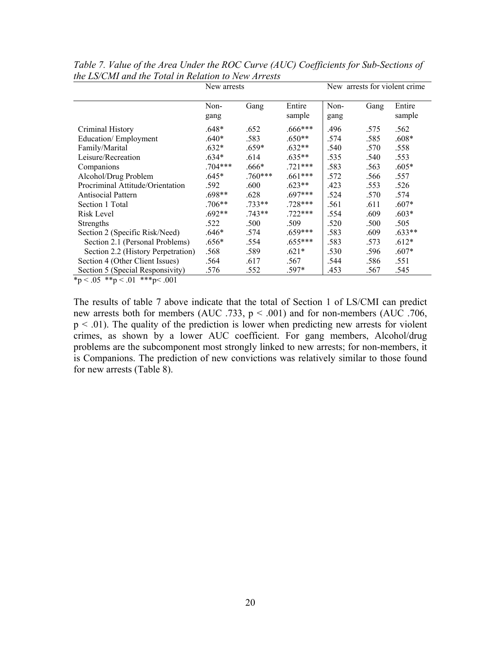| Non-<br>Gang<br>Entire<br>Non-<br>Gang<br>sample<br>gang<br>gang | Entire<br>sample |
|------------------------------------------------------------------|------------------|
| $.666***$<br>$.648*$<br>.652<br>.496<br>.575                     | .562             |
| $.640*$<br>$.650**$<br>.583<br>.574<br>.585                      | $.608*$          |
| $.659*$<br>$.632**$<br>.632*<br>.540<br>.570                     | .558             |
| $.634*$<br>.614<br>$.635**$<br>.535<br>.540                      | .553             |
| $.704***$<br>$.721***$<br>.666*<br>.583<br>.563                  | $.605*$          |
| $.760***$<br>$.645*$<br>$.661***$<br>.572<br>.566                | .557             |
| $.623**$<br>.592<br>.600<br>.423<br>.553                         | .526             |
| $.698**$<br>$.697***$<br>.628<br>.524<br>.570                    | .574             |
| .728***<br>$.706**$<br>$.733**$<br>.561<br>.611                  | $.607*$          |
| $.692**$<br>$.743**$<br>$.722***$<br>.554<br>.609                | $.603*$          |
| .522<br>.500<br>.509<br>.520<br>.500                             | .505             |
| $.659***$<br>.646*<br>.583<br>.574<br>.609                       | $.633**$         |
| $.655***$<br>.656*<br>.554<br>.583<br>.573                       | $.612*$          |
| .568<br>.589<br>$.621*$<br>.530<br>.596                          | $.607*$          |
| .564<br>.617<br>.567<br>.544<br>.586                             | .551             |
| .597*<br>.453<br>.576<br>.552<br>.567                            | .545             |
|                                                                  |                  |

*Table 7. Value of the Area Under the ROC Curve (AUC) Coefficients for Sub-Sections of the LS/CMI and the Total in Relation to New Arrests* 

 $~^{\circ}$ p < .05  $~^{\circ}$ \* $\frac{p}{5}$  < .01  $~^{\circ}$ \*\* $p$ < .001

The results of table 7 above indicate that the total of Section 1 of LS/CMI can predict new arrests both for members (AUC .733, p < .001) and for non-members (AUC .706,  $p < .01$ ). The quality of the prediction is lower when predicting new arrests for violent crimes, as shown by a lower AUC coefficient. For gang members, Alcohol/drug problems are the subcomponent most strongly linked to new arrests; for non-members, it is Companions. The prediction of new convictions was relatively similar to those found for new arrests (Table 8).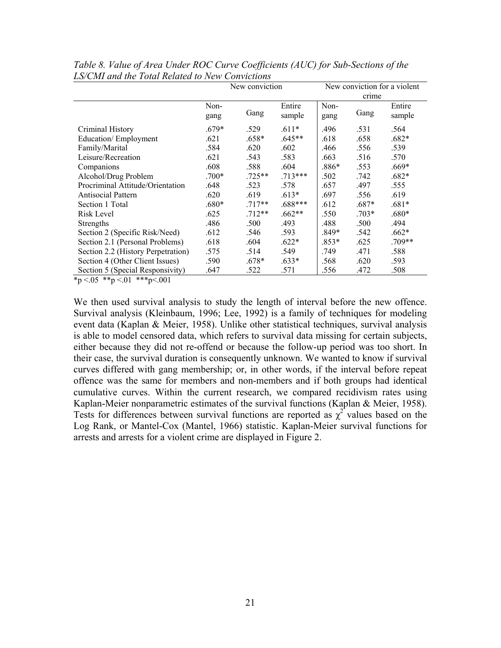|                                                                     | New conviction |          |           | New conviction for a violent |         |         |
|---------------------------------------------------------------------|----------------|----------|-----------|------------------------------|---------|---------|
|                                                                     |                |          |           | crime                        |         |         |
|                                                                     | Non-           |          | Entire    | Non-                         |         | Entire  |
|                                                                     | gang           | Gang     | sample    | gang                         | Gang    | sample  |
| Criminal History                                                    | $.679*$        | .529     | $.611*$   | .496                         | .531    | .564    |
| Education/Employment                                                | .621           | .658*    | $.645**$  | .618                         | .658    | $.682*$ |
| Family/Marital                                                      | .584           | .620     | .602      | .466                         | .556    | .539    |
| Leisure/Recreation                                                  | .621           | .543     | .583      | .663                         | .516    | .570    |
| Companions                                                          | .608           | .588     | .604      | $.886*$                      | .553    | .669*   |
| Alcohol/Drug Problem                                                | $.700*$        | .725**   | $.713***$ | .502                         | .742    | .682*   |
| Procriminal Attitude/Orientation                                    | .648           | .523     | .578      | .657                         | .497    | .555    |
| Antisocial Pattern                                                  | .620           | .619     | $.613*$   | .697                         | .556    | .619    |
| Section 1 Total                                                     | .680*          | $.717**$ | .688***   | .612                         | .687*   | $.681*$ |
| Risk Level                                                          | .625           | $.712**$ | $.662**$  | .550                         | $.703*$ | $.680*$ |
| <b>Strengths</b>                                                    | .486           | .500     | .493      | .488                         | .500    | .494    |
| Section 2 (Specific Risk/Need)                                      | .612           | .546     | .593      | .849*                        | .542    | $.662*$ |
| Section 2.1 (Personal Problems)                                     | .618           | .604     | $.622*$   | $.853*$                      | .625    | .709**  |
| Section 2.2 (History Perpetration)                                  | .575           | .514     | .549      | .749                         | .471    | .588    |
| Section 4 (Other Client Issues)                                     | .590           | .678*    | $.633*$   | .568                         | .620    | .593    |
| Section 5 (Special Responsivity)<br>$\sim$ 0.1 deducts $\sim$ 0.0.1 | .647           | .522     | .571      | .556                         | .472    | .508    |

*Table 8. Value of Area Under ROC Curve Coefficients (AUC) for Sub-Sections of the LS/CMI and the Total Related to New Convictions* 

 $*_p$  <.05  $*_p$  <.01  $**_p$  <.001

We then used survival analysis to study the length of interval before the new offence. Survival analysis (Kleinbaum, 1996; Lee, 1992) is a family of techniques for modeling event data (Kaplan & Meier, 1958). Unlike other statistical techniques, survival analysis is able to model censored data, which refers to survival data missing for certain subjects, either because they did not re-offend or because the follow-up period was too short. In their case, the survival duration is consequently unknown. We wanted to know if survival curves differed with gang membership; or, in other words, if the interval before repeat offence was the same for members and non-members and if both groups had identical cumulative curves. Within the current research, we compared recidivism rates using Kaplan-Meier nonparametric estimates of the survival functions (Kaplan & Meier, 1958). Tests for differences between survival functions are reported as  $\chi^2$  values based on the Log Rank, or Mantel-Cox (Mantel, 1966) statistic. Kaplan-Meier survival functions for arrests and arrests for a violent crime are displayed in Figure 2.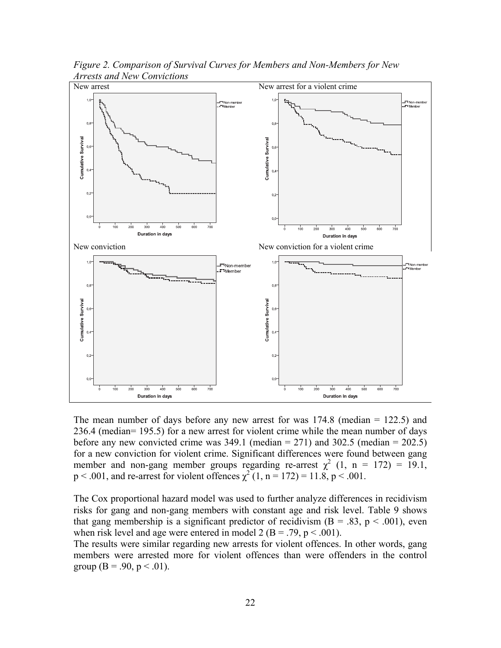

*Figure 2. Comparison of Survival Curves for Members and Non-Members for New Arrests and New Convictions*

The mean number of days before any new arrest for was 174.8 (median = 122.5) and 236.4 (median= 195.5) for a new arrest for violent crime while the mean number of days before any new convicted crime was  $349.1$  (median = 271) and  $302.5$  (median = 202.5) for a new conviction for violent crime. Significant differences were found between gang member and non-gang member groups regarding re-arrest  $\chi^2$  (1, n = 172) = 19.1,  $p < .001$ , and re-arrest for violent offences  $\chi^2(1, n = 172) = 11.8$ ,  $p < .001$ .

The Cox proportional hazard model was used to further analyze differences in recidivism risks for gang and non-gang members with constant age and risk level. Table 9 shows that gang membership is a significant predictor of recidivism ( $B = .83$ ,  $p < .001$ ), even when risk level and age were entered in model 2 (B = .79,  $p < .001$ ).

The results were similar regarding new arrests for violent offences. In other words, gang members were arrested more for violent offences than were offenders in the control group (B = .90, p < .01).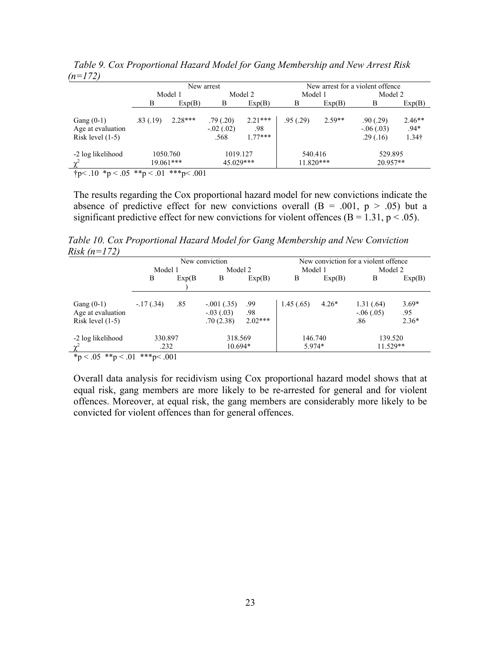|                                                         | New arrest              |           |                                  |                               | New arrest for a violent offence |          |                                      |                                         |  |
|---------------------------------------------------------|-------------------------|-----------|----------------------------------|-------------------------------|----------------------------------|----------|--------------------------------------|-----------------------------------------|--|
|                                                         | Model 1                 |           | Model 2                          |                               | Model 1                          |          | Model 2                              |                                         |  |
|                                                         | B                       | Exp(B)    | B                                | Exp(B)                        | B                                | Exp(B)   | B                                    | Exp(B)                                  |  |
| Gang $(0-1)$<br>Age at evaluation<br>Risk level $(1-5)$ | .83(.19)                | $2.28***$ | .79(0.20)<br>$-.02(.02)$<br>.568 | $2.21***$<br>.98<br>$1.77***$ | .95(.29)                         | $2.59**$ | .90(.29)<br>$-.06(.03)$<br>.29(0.16) | $2.46**$<br>$.94*$<br>1.34 <sup>†</sup> |  |
| -2 log likelihood                                       | 1050.760<br>$19.061***$ |           | 1019.127<br>45.029***            |                               | 540.416<br>$11.820***$           |          | 529.895<br>20.957**                  |                                         |  |

*Table 9. Cox Proportional Hazard Model for Gang Membership and New Arrest Risk (n=172)* 

 $\uparrow p$  < .10 \* p < .05 \* \* p < .01 \* \* \* p < .001

The results regarding the Cox proportional hazard model for new convictions indicate the absence of predictive effect for new convictions overall  $(B = .001, p > .05)$  but a significant predictive effect for new convictions for violent offences ( $B = 1.31$ ,  $p < .05$ ).

*Table 10. Cox Proportional Hazard Model for Gang Membership and New Conviction Risk (n=172)* 

|                                                         | New conviction  |        |                                          |                         | New conviction for a violent offence |         |                                   |                           |  |
|---------------------------------------------------------|-----------------|--------|------------------------------------------|-------------------------|--------------------------------------|---------|-----------------------------------|---------------------------|--|
|                                                         | Model 1         |        | Model 2                                  |                         | Model 1                              |         | Model 2                           |                           |  |
|                                                         | В               | Exp(B) | В                                        | Exp(B)                  | B                                    | Exp(B)  | B                                 | Exp(B)                    |  |
| Gang $(0-1)$<br>Age at evaluation<br>Risk level $(1-5)$ | $-17(.34)$      | .85    | $-.001(.35)$<br>$-.03(.03)$<br>.70(2.38) | .99<br>.98<br>$2.02***$ | 1.45(.65)                            | $4.26*$ | 1.31(.64)<br>$-0.06(0.05)$<br>.86 | $3.69*$<br>.95<br>$2.36*$ |  |
| -2 log likelihood                                       | 330.897<br>.232 |        | 318.569<br>$10.694*$                     |                         | 146.740<br>5.974*                    |         | 139.520<br>11.529**               |                           |  |
| *p < .05 **p < .01                                      | ***p<.001       |        |                                          |                         |                                      |         |                                   |                           |  |

Overall data analysis for recidivism using Cox proportional hazard model shows that at equal risk, gang members are more likely to be re-arrested for general and for violent offences. Moreover, at equal risk, the gang members are considerably more likely to be convicted for violent offences than for general offences.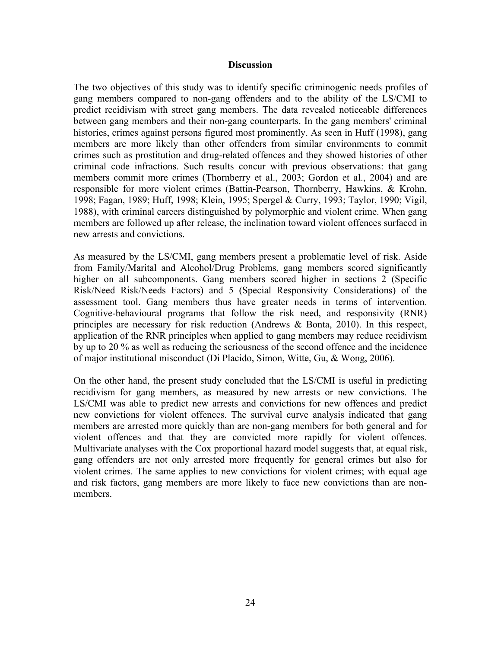#### **Discussion**

The two objectives of this study was to identify specific criminogenic needs profiles of gang members compared to non-gang offenders and to the ability of the LS/CMI to predict recidivism with street gang members. The data revealed noticeable differences between gang members and their non-gang counterparts. In the gang members' criminal histories, crimes against persons figured most prominently. As seen in Huff (1998), gang members are more likely than other offenders from similar environments to commit crimes such as prostitution and drug-related offences and they showed histories of other criminal code infractions. Such results concur with previous observations: that gang members commit more crimes (Thornberry et al., 2003; Gordon et al., 2004) and are responsible for more violent crimes (Battin-Pearson, Thornberry, Hawkins, & Krohn, 1998; Fagan, 1989; Huff, 1998; Klein, 1995; Spergel & Curry, 1993; Taylor, 1990; Vigil, 1988), with criminal careers distinguished by polymorphic and violent crime. When gang members are followed up after release, the inclination toward violent offences surfaced in new arrests and convictions.

As measured by the LS/CMI, gang members present a problematic level of risk. Aside from Family/Marital and Alcohol/Drug Problems, gang members scored significantly higher on all subcomponents. Gang members scored higher in sections 2 (Specific Risk/Need Risk/Needs Factors) and 5 (Special Responsivity Considerations) of the assessment tool. Gang members thus have greater needs in terms of intervention. Cognitive-behavioural programs that follow the risk need, and responsivity (RNR) principles are necessary for risk reduction (Andrews & Bonta, 2010). In this respect, application of the RNR principles when applied to gang members may reduce recidivism by up to 20 % as well as reducing the seriousness of the second offence and the incidence of major institutional misconduct (Di Placido, Simon, Witte, Gu, & Wong, 2006).

On the other hand, the present study concluded that the LS/CMI is useful in predicting recidivism for gang members, as measured by new arrests or new convictions. The LS/CMI was able to predict new arrests and convictions for new offences and predict new convictions for violent offences. The survival curve analysis indicated that gang members are arrested more quickly than are non-gang members for both general and for violent offences and that they are convicted more rapidly for violent offences. Multivariate analyses with the Cox proportional hazard model suggests that, at equal risk, gang offenders are not only arrested more frequently for general crimes but also for violent crimes. The same applies to new convictions for violent crimes; with equal age and risk factors, gang members are more likely to face new convictions than are nonmembers.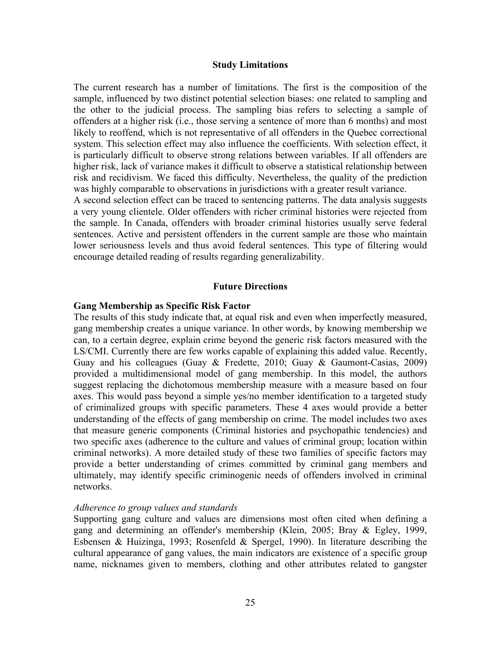#### **Study Limitations**

The current research has a number of limitations. The first is the composition of the sample, influenced by two distinct potential selection biases: one related to sampling and the other to the judicial process. The sampling bias refers to selecting a sample of offenders at a higher risk (i.e., those serving a sentence of more than 6 months) and most likely to reoffend, which is not representative of all offenders in the Quebec correctional system. This selection effect may also influence the coefficients. With selection effect, it is particularly difficult to observe strong relations between variables. If all offenders are higher risk, lack of variance makes it difficult to observe a statistical relationship between risk and recidivism. We faced this difficulty. Nevertheless, the quality of the prediction was highly comparable to observations in jurisdictions with a greater result variance.

A second selection effect can be traced to sentencing patterns. The data analysis suggests a very young clientele. Older offenders with richer criminal histories were rejected from the sample. In Canada, offenders with broader criminal histories usually serve federal sentences. Active and persistent offenders in the current sample are those who maintain lower seriousness levels and thus avoid federal sentences. This type of filtering would encourage detailed reading of results regarding generalizability.

#### **Future Directions**

#### **Gang Membership as Specific Risk Factor**

The results of this study indicate that, at equal risk and even when imperfectly measured, gang membership creates a unique variance. In other words, by knowing membership we can, to a certain degree, explain crime beyond the generic risk factors measured with the LS/CMI. Currently there are few works capable of explaining this added value. Recently, Guay and his colleagues (Guay & Fredette, 2010; Guay & Gaumont-Casias, 2009) provided a multidimensional model of gang membership. In this model, the authors suggest replacing the dichotomous membership measure with a measure based on four axes. This would pass beyond a simple yes/no member identification to a targeted study of criminalized groups with specific parameters. These 4 axes would provide a better understanding of the effects of gang membership on crime. The model includes two axes that measure generic components (Criminal histories and psychopathic tendencies) and two specific axes (adherence to the culture and values of criminal group; location within criminal networks). A more detailed study of these two families of specific factors may provide a better understanding of crimes committed by criminal gang members and ultimately, may identify specific criminogenic needs of offenders involved in criminal networks.

#### *Adherence to group values and standards*

Supporting gang culture and values are dimensions most often cited when defining a gang and determining an offender's membership (Klein, 2005; Bray & Egley, 1999, Esbensen & Huizinga, 1993; Rosenfeld & Spergel, 1990). In literature describing the cultural appearance of gang values, the main indicators are existence of a specific group name, nicknames given to members, clothing and other attributes related to gangster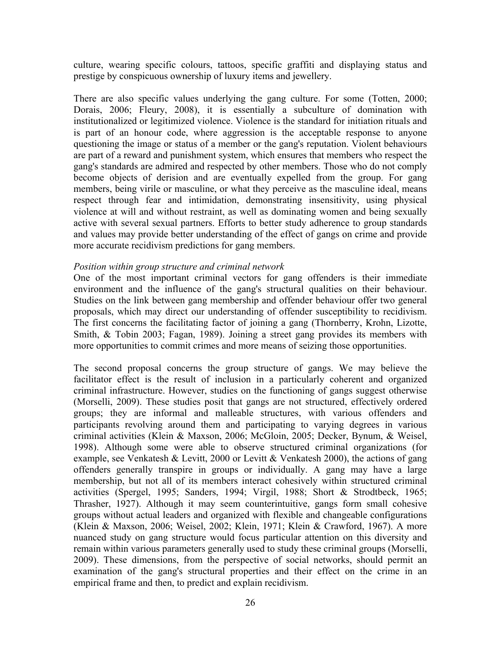culture, wearing specific colours, tattoos, specific graffiti and displaying status and prestige by conspicuous ownership of luxury items and jewellery.

There are also specific values underlying the gang culture. For some (Totten, 2000; Dorais, 2006; Fleury, 2008), it is essentially a subculture of domination with institutionalized or legitimized violence. Violence is the standard for initiation rituals and is part of an honour code, where aggression is the acceptable response to anyone questioning the image or status of a member or the gang's reputation. Violent behaviours are part of a reward and punishment system, which ensures that members who respect the gang's standards are admired and respected by other members. Those who do not comply become objects of derision and are eventually expelled from the group. For gang members, being virile or masculine, or what they perceive as the masculine ideal, means respect through fear and intimidation, demonstrating insensitivity, using physical violence at will and without restraint, as well as dominating women and being sexually active with several sexual partners. Efforts to better study adherence to group standards and values may provide better understanding of the effect of gangs on crime and provide more accurate recidivism predictions for gang members.

#### *Position within group structure and criminal network*

One of the most important criminal vectors for gang offenders is their immediate environment and the influence of the gang's structural qualities on their behaviour. Studies on the link between gang membership and offender behaviour offer two general proposals, which may direct our understanding of offender susceptibility to recidivism. The first concerns the facilitating factor of joining a gang (Thornberry, Krohn, Lizotte, Smith, & Tobin 2003; Fagan, 1989). Joining a street gang provides its members with more opportunities to commit crimes and more means of seizing those opportunities.

The second proposal concerns the group structure of gangs. We may believe the facilitator effect is the result of inclusion in a particularly coherent and organized criminal infrastructure. However, studies on the functioning of gangs suggest otherwise (Morselli, 2009). These studies posit that gangs are not structured, effectively ordered groups; they are informal and malleable structures, with various offenders and participants revolving around them and participating to varying degrees in various criminal activities (Klein & Maxson, 2006; McGloin, 2005; Decker, Bynum, & Weisel, 1998). Although some were able to observe structured criminal organizations (for example, see Venkatesh & Levitt, 2000 or Levitt & Venkatesh 2000), the actions of gang offenders generally transpire in groups or individually. A gang may have a large membership, but not all of its members interact cohesively within structured criminal activities (Spergel, 1995; Sanders, 1994; Virgil, 1988; Short & Strodtbeck, 1965; Thrasher, 1927). Although it may seem counterintuitive, gangs form small cohesive groups without actual leaders and organized with flexible and changeable configurations (Klein & Maxson, 2006; Weisel, 2002; Klein, 1971; Klein & Crawford, 1967). A more nuanced study on gang structure would focus particular attention on this diversity and remain within various parameters generally used to study these criminal groups (Morselli, 2009). These dimensions, from the perspective of social networks, should permit an examination of the gang's structural properties and their effect on the crime in an empirical frame and then, to predict and explain recidivism.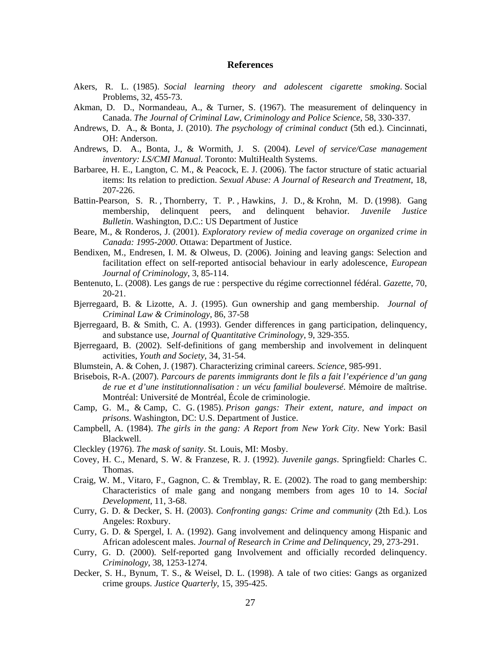#### **References**

- Akers, R. L. (1985). *Social learning theory and adolescent cigarette smoking*. Social Problems, 32, 455-73.
- Akman, D. D., Normandeau, A., & Turner, S. (1967). The measurement of delinquency in Canada. *The Journal of Criminal Law, Criminology and Police Science*, 58, 330-337.
- Andrews, D. A., & Bonta, J. (2010). *The psychology of criminal conduct* (5th ed.). Cincinnati, OH: Anderson.
- Andrews, D. A., Bonta, J., & Wormith, J. S. (2004). *Level of service/Case management inventory: LS/CMI Manual*. Toronto: MultiHealth Systems.
- Barbaree, H. E., Langton, C. M., & Peacock, E. J. (2006). The factor structure of static actuarial items: Its relation to prediction. *Sexual Abuse: A Journal of Research and Treatment*, 18, 207-226.
- Battin-Pearson, S. R. , Thornberry, T. P. , Hawkins, J. D., & Krohn, M. D. (1998). Gang membership, delinquent peers, and delinquent behavior. *Juvenile Justice Bulletin*. Washington, D.C.: US Department of Justice
- Beare, M., & Ronderos, J. (2001). *Exploratory review of media coverage on organized crime in Canada: 1995-2000*. Ottawa: Department of Justice.
- Bendixen, M., Endresen, I. M. & Olweus, D. (2006). Joining and leaving gangs: Selection and facilitation effect on self-reported antisocial behaviour in early adolescence, *European Journal of Criminology*, 3, 85-114.
- Bentenuto, L. (2008). Les gangs de rue : perspective du régime correctionnel fédéral. *Gazette*, 70, 20-21.
- Bjerregaard, B. & Lizotte, A. J. (1995). Gun ownership and gang membership. *Journal of Criminal Law & Criminology*, 86, 37-58
- Bjerregaard, B. & Smith, C. A. (1993). Gender differences in gang participation, delinquency, and substance use, *Journal of Quantitative Criminology*, 9, 329-355.
- Bjerregaard, B. (2002). Self-definitions of gang membership and involvement in delinquent activities, *Youth and Society*, 34, 31-54.
- Blumstein, A. & Cohen, J. (1987). Characterizing criminal careers. *Science*, 985-991.
- Brisebois, R-A. (2007). *Parcours de parents immigrants dont le fils a fait l'expérience d'un gang de rue et d'une institutionnalisation : un vécu familial bouleversé*. Mémoire de maîtrise. Montréal: Université de Montréal, École de criminologie.
- Camp, G. M., & Camp, C. G. (1985). *Prison gangs: Their extent, nature, and impact on prisons*. Washington, DC: U.S. Department of Justice.
- Campbell, A. (1984). *The girls in the gang: A Report from New York City*. New York: Basil Blackwell.
- Cleckley (1976). *The mask of sanity*. St. Louis, MI: Mosby.
- Covey, H. C., Menard, S. W. & Franzese, R. J. (1992). *Juvenile gangs*. Springfield: Charles C. Thomas.
- Craig, W. M., Vitaro, F., Gagnon, C. & Tremblay, R. E. (2002). The road to gang membership: Characteristics of male gang and nongang members from ages 10 to 14. *Social Development*, 11, 3-68.
- Curry, G. D. & Decker, S. H. (2003). *Confronting gangs: Crime and community* (2th Ed.). Los Angeles: Roxbury.
- Curry, G. D. & Spergel, I. A. (1992). Gang involvement and delinquency among Hispanic and African adolescent males. *Journal of Research in Crime and Delinquency*, 29, 273-291.
- Curry, G. D. (2000). Self-reported gang Involvement and officially recorded delinquency. *Criminology*, 38, 1253-1274.
- Decker, S. H., Bynum, T. S., & Weisel, D. L. (1998). A tale of two cities: Gangs as organized crime groups. *Justice Quarterly*, 15, 395-425.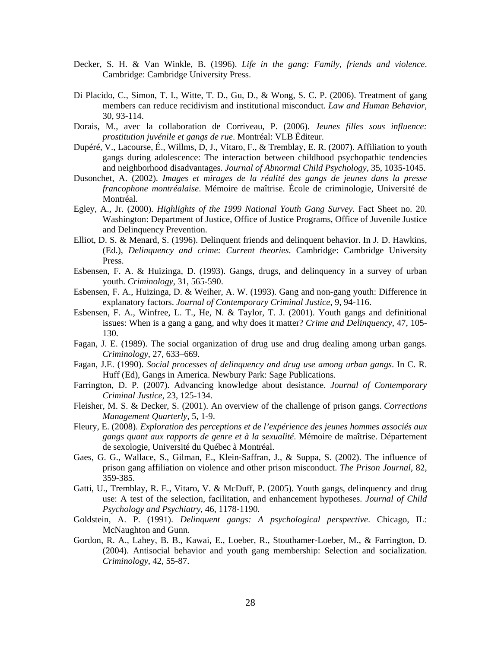- Decker, S. H. & Van Winkle, B. (1996). *Life in the gang: Family, friends and violence*. Cambridge: Cambridge University Press.
- Di Placido, C., Simon, T. I., Witte, T. D., Gu, D., & Wong, S. C. P. (2006). Treatment of gang members can reduce recidivism and institutional misconduct. *Law and Human Behavior*, 30, 93-114.
- Dorais, M., avec la collaboration de Corriveau, P. (2006). *Jeunes filles sous influence: prostitution juvénile et gangs de rue*. Montréal: VLB Éditeur.
- Dupéré, V., Lacourse, É., Willms, D, J., Vitaro, F., & Tremblay, E. R. (2007). Affiliation to youth gangs during adolescence: The interaction between childhood psychopathic tendencies and neighborhood disadvantages. *Journal of Abnormal Child Psychology*, 35, 1035-1045.
- Dusonchet, A. (2002). *Images et mirages de la réalité des gangs de jeunes dans la presse francophone montréalaise*. Mémoire de maîtrise. École de criminologie, Université de Montréal.
- Egley, A., Jr. (2000). *Highlights of the 1999 National Youth Gang Survey*. Fact Sheet no. 20. Washington: Department of Justice, Office of Justice Programs, Office of Juvenile Justice and Delinquency Prevention.
- Elliot, D. S. & Menard, S. (1996). Delinquent friends and delinquent behavior. In J. D. Hawkins, (Ed.), *Delinquency and crime: Current theories*. Cambridge: Cambridge University Press.
- Esbensen, F. A. & Huizinga, D. (1993). Gangs, drugs, and delinquency in a survey of urban youth. *Criminology*, 31, 565-590.
- Esbensen, F. A., Huizinga, D. & Weiher, A. W. (1993). Gang and non-gang youth: Difference in explanatory factors. *Journal of Contemporary Criminal Justice*, 9, 94-116.
- Esbensen, F. A., Winfree, L. T., He, N. & Taylor, T. J. (2001). Youth gangs and definitional issues: When is a gang a gang, and why does it matter? *Crime and Delinquency*, 47, 105- 130.
- Fagan, J. E. (1989). The social organization of drug use and drug dealing among urban gangs. *Criminology*, 27, 633–669.
- Fagan, J.E. (1990). *Social processes of delinquency and drug use among urban gangs*. In C. R. Huff (Ed), Gangs in America. Newbury Park: Sage Publications.
- Farrington, D. P. (2007). Advancing knowledge about desistance. *Journal of Contemporary Criminal Justice*, 23, 125-134.
- Fleisher, M. S. & Decker, S. (2001). An overview of the challenge of prison gangs. *Corrections Management Quarterly*, 5, 1-9.
- Fleury, E. (2008). *Exploration des perceptions et de l'expérience des jeunes hommes associés aux gangs quant aux rapports de genre et à la sexualité*. Mémoire de maîtrise. Département de sexologie, Université du Québec à Montréal.
- Gaes, G. G., Wallace, S., Gilman, E., Klein-Saffran, J., & Suppa, S. (2002). The influence of prison gang affiliation on violence and other prison misconduct. *The Prison Journal*, 82, 359-385.
- Gatti, U., Tremblay, R. E., Vitaro, V. & McDuff, P. (2005). Youth gangs, delinquency and drug use: A test of the selection, facilitation, and enhancement hypotheses. *Journal of Child Psychology and Psychiatry*, 46, 1178-1190.
- Goldstein, A. P. (1991). *Delinquent gangs: A psychological perspective*. Chicago, IL: McNaughton and Gunn.
- Gordon, R. A., Lahey, B. B., Kawai, E., Loeber, R., Stouthamer-Loeber, M., & Farrington, D. (2004). Antisocial behavior and youth gang membership: Selection and socialization. *Criminology*, 42, 55-87.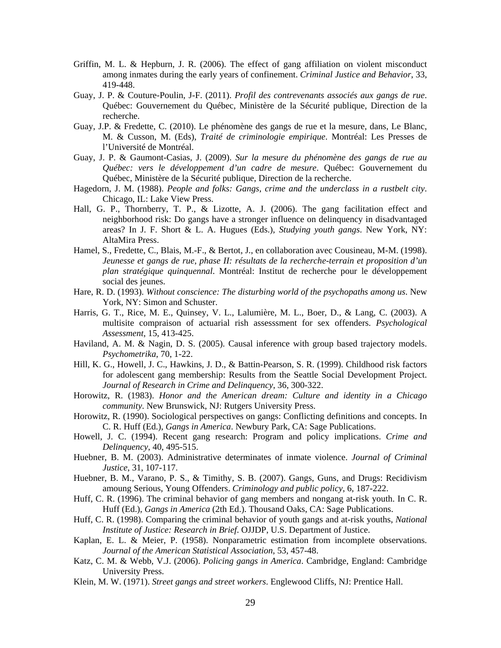- Griffin, M. L. & Hepburn, J. R. (2006). The effect of gang affiliation on violent misconduct among inmates during the early years of confinement. *Criminal Justice and Behavior*, 33, 419-448.
- Guay, J. P. & Couture-Poulin, J-F. (2011). *Profil des contrevenants associés aux gangs de rue*. Québec: Gouvernement du Québec, Ministère de la Sécurité publique, Direction de la recherche.
- Guay, J.P. & Fredette, C. (2010). Le phénomène des gangs de rue et la mesure, dans, Le Blanc, M. & Cusson, M. (Eds), *Traité de criminologie empirique*. Montréal: Les Presses de l'Université de Montréal.
- Guay, J. P. & Gaumont-Casias, J. (2009). *Sur la mesure du phénomène des gangs de rue au Québec: vers le développement d'un cadre de mesure*. Québec: Gouvernement du Québec, Ministère de la Sécurité publique, Direction de la recherche.
- Hagedorn, J. M. (1988). *People and folks: Gangs, crime and the underclass in a rustbelt city*. Chicago, IL: Lake View Press.
- Hall, G. P., Thornberry, T. P., & Lizotte, A. J. (2006). The gang facilitation effect and neighborhood risk: Do gangs have a stronger influence on delinquency in disadvantaged areas? In J. F. Short & L. A. Hugues (Eds.), *Studying youth gangs*. New York, NY: AltaMira Press.
- Hamel, S., Fredette, C., Blais, M.-F., & Bertot, J., en collaboration avec Cousineau, M-M. (1998). *Jeunesse et gangs de rue, phase II: résultats de la recherche-terrain et proposition d'un plan stratégique quinquennal*. Montréal: Institut de recherche pour le développement social des jeunes.
- Hare, R. D. (1993). *Without conscience: The disturbing world of the psychopaths among us*. New York, NY: Simon and Schuster.
- Harris, G. T., Rice, M. E., Quinsey, V. L., Lalumière, M. L., Boer, D., & Lang, C. (2003). A multisite compraison of actuarial rish assesssment for sex offenders. *Psychological Assessment*, 15, 413-425.
- Haviland, A. M. & Nagin, D. S. (2005). Causal inference with group based trajectory models. *Psychometrika*, 70, 1-22.
- Hill, K. G., Howell, J. C., Hawkins, J. D., & Battin-Pearson, S. R. (1999). Childhood risk factors for adolescent gang membership: Results from the Seattle Social Development Project. *Journal of Research in Crime and Delinquency*, 36, 300-322.
- Horowitz, R. (1983). *Honor and the American dream: Culture and identity in a Chicago community*. New Brunswick, NJ: Rutgers University Press.
- Horowitz, R. (1990). Sociological perspectives on gangs: Conflicting definitions and concepts. In C. R. Huff (Ed.), *Gangs in America*. Newbury Park, CA: Sage Publications.
- Howell, J. C. (1994). Recent gang research: Program and policy implications. *Crime and Delinquency*, 40, 495-515.
- Huebner, B. M. (2003). Administrative determinates of inmate violence. *Journal of Criminal Justice*, 31, 107-117.
- Huebner, B. M., Varano, P. S., & Timithy, S. B. (2007). Gangs, Guns, and Drugs: Recidivism amoung Serious, Young Offenders. *Criminology and public policy*, 6, 187-222.
- Huff, C. R. (1996). The criminal behavior of gang members and nongang at-risk youth. In C. R. Huff (Ed.), *Gangs in America* (2th Ed.). Thousand Oaks, CA: Sage Publications.
- Huff, C. R. (1998). Comparing the criminal behavior of youth gangs and at-risk youths, *National Institute of Justice: Research in Brief*. OJJDP, U.S. Department of Justice.
- Kaplan, E. L. & Meier, P. (1958). Nonparametric estimation from incomplete observations. *Journal of the American Statistical Association*, 53, 457-48.
- Katz, C. M. & Webb, V.J. (2006). *Policing gangs in America*. Cambridge, England: Cambridge University Press.
- Klein, M. W. (1971). *Street gangs and street workers*. Englewood Cliffs, NJ: Prentice Hall.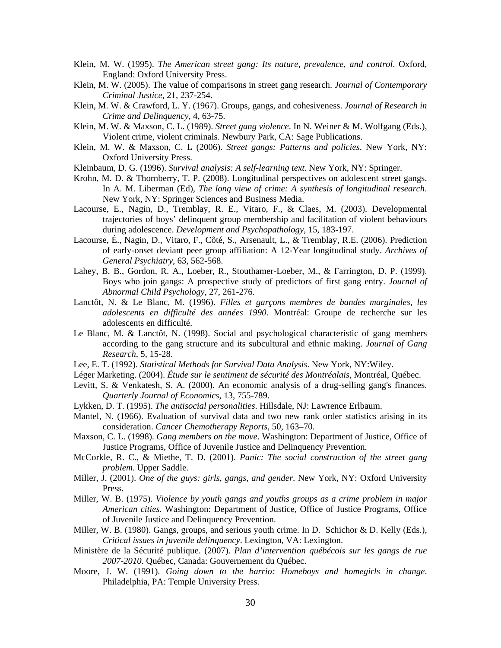- Klein, M. W. (1995). *The American street gang: Its nature, prevalence, and control*. Oxford, England: Oxford University Press.
- Klein, M. W. (2005). The value of comparisons in street gang research. *Journal of Contemporary Criminal Justice*, 21, 237-254.
- Klein, M. W. & Crawford, L. Y. (1967). Groups, gangs, and cohesiveness. *Journal of Research in Crime and Delinquency*, 4, 63-75.
- Klein, M. W. & Maxson, C. L. (1989). *Street gang violence*. In N. Weiner & M. Wolfgang (Eds.), Violent crime, violent criminals. Newbury Park, CA: Sage Publications.
- Klein, M. W. & Maxson, C. L (2006). *Street gangs: Patterns and policies*. New York, NY: Oxford University Press.
- Kleinbaum, D. G. (1996). *Survival analysis: A self-learning text*. New York, NY: Springer.
- Krohn, M. D. & Thornberry, T. P. (2008). Longitudinal perspectives on adolescent street gangs. In A. M. Liberman (Ed), *The long view of crime: A synthesis of longitudinal research*. New York, NY: Springer Sciences and Business Media.
- Lacourse, E., Nagin, D., Tremblay, R. E., Vitaro, F., & Claes, M. (2003). Developmental trajectories of boys' delinquent group membership and facilitation of violent behaviours during adolescence. *Development and Psychopathology*, 15, 183-197.
- Lacourse, É., Nagin, D., Vitaro, F., Côté, S., Arsenault, L., & Tremblay, R.E. (2006). Prediction of early-onset deviant peer group affiliation: A 12-Year longitudinal study. *Archives of General Psychiatry*, 63, 562-568.
- Lahey, B. B., Gordon, R. A., Loeber, R., Stouthamer-Loeber, M., & Farrington, D. P. (1999). Boys who join gangs: A prospective study of predictors of first gang entry. *Journal of Abnormal Child Psychology*, 27, 261-276.
- Lanctôt, N. & Le Blanc, M. (1996). *Filles et garçons membres de bandes marginales, les adolescents en difficulté des années 1990*. Montréal: Groupe de recherche sur les adolescents en difficulté.
- Le Blanc, M. & Lanctôt, N. (1998). Social and psychological characteristic of gang members according to the gang structure and its subcultural and ethnic making. *Journal of Gang Research*, 5, 15-28.
- Lee, E. T. (1992). *Statistical Methods for Survival Data Analysis*. New York, NY:Wiley.
- Léger Marketing. (2004). *Étude sur le sentiment de sécurité des Montréalais*, Montréal, Québec.
- Levitt, S. & Venkatesh, S. A. (2000). An economic analysis of a drug-selling gang's finances. *Quarterly Journal of Economics*, 13, 755-789.
- Lykken, D. T. (1995). *The antisocial personalities*. Hillsdale, NJ: Lawrence Erlbaum.
- Mantel, N. (1966). Evaluation of survival data and two new rank order statistics arising in its consideration. *Cancer Chemotherapy Reports*, 50, 163–70.
- Maxson, C. L. (1998). *Gang members on the move*. Washington: Department of Justice, Office of Justice Programs, Office of Juvenile Justice and Delinquency Prevention.
- McCorkle, R. C., & Miethe, T. D. (2001). *Panic: The social construction of the street gang problem*. Upper Saddle.
- Miller, J. (2001). *One of the guys: girls, gangs, and gender*. New York, NY: Oxford University Press.
- Miller, W. B. (1975). *Violence by youth gangs and youths groups as a crime problem in major American cities*. Washington: Department of Justice, Office of Justice Programs, Office of Juvenile Justice and Delinquency Prevention.
- Miller, W. B. (1980). Gangs, groups, and serious youth crime. In D. Schichor & D. Kelly (Eds.), *Critical issues in juvenile delinquency*. Lexington, VA: Lexington.
- Ministère de la Sécurité publique. (2007). *Plan d'intervention québécois sur les gangs de rue 2007-2010*. Québec, Canada: Gouvernement du Québec.
- Moore, J. W. (1991). *Going down to the barrio: Homeboys and homegirls in change*. Philadelphia, PA: Temple University Press.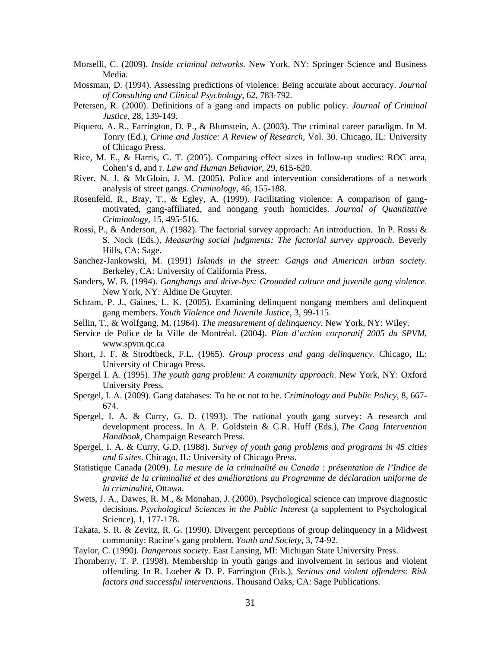- Morselli, C. (2009). *Inside criminal networks*. New York, NY: Springer Science and Business Media.
- Mossman, D. (1994). Assessing predictions of violence: Being accurate about accuracy. *Journal of Consulting and Clinical Psychology*, 62, 783-792.
- Petersen, R. (2000). Definitions of a gang and impacts on public policy. *Journal of Criminal Justice*, 28, 139-149.
- Piquero, A. R., Farrington, D. P., & Blumstein, A. (2003). The criminal career paradigm. In M. Tonry (Ed.), *Crime and Justice: A Review of Research*, Vol. 30. Chicago, IL: University of Chicago Press.
- Rice, M. E., & Harris, G. T. (2005). Comparing effect sizes in follow-up studies: ROC area, Cohen's d, and r. *Law and Human Behavior*, 29, 615-620.
- River, N. J. & McGloin, J. M. (2005). Police and intervention considerations of a network analysis of street gangs. *Criminology*, 46, 155-188.
- Rosenfeld, R., Bray, T., & Egley, A. (1999). Facilitating violence: A comparison of gangmotivated, gang-affiliated, and nongang youth homicides. *Journal of Quantitative Criminology*, 15, 495-516.
- Rossi, P., & Anderson, A. (1982). The factorial survey approach: An introduction. In P. Rossi & S. Nock (Eds.), *Measuring social judgments: The factorial survey approach*. Beverly Hills, CA: Sage.
- Sanchez-Jankowski, M. (1991) *Islands in the street: Gangs and American urban society*. Berkeley, CA: University of California Press.
- Sanders, W. B. (1994). *Gangbangs and drive-bys: Grounded culture and juvenile gang violence*. New York, NY: Aldine De Gruyter.
- Schram, P. J., Gaines, L. K. (2005). Examining delinquent nongang members and delinquent gang members. *Youth Violence and Juvenile Justice*, 3, 99-115.
- Sellin, T., & Wolfgang, M. (1964). *The measurement of delinquency*. New York, NY: Wiley.
- Service de Police de la Ville de Montréal. (2004). *Plan d'action corporatif 2005 du SPVM*, www.spvm.qc.ca
- Short, J. F. & Strodtbeck, F.L. (1965). *Group process and gang delinquency*. Chicago, IL: University of Chicago Press.
- Spergel I. A. (1995). *The youth gang problem: A community approach*. New York, NY: Oxford University Press.
- Spergel, I. A. (2009). Gang databases: To be or not to be. *Criminology and Public Policy*, 8, 667- 674.
- Spergel, I. A. & Curry, G. D. (1993). The national youth gang survey: A research and development process. In A. P. Goldstein & C.R. Huff (Eds.), *The Gang Intervention Handbook*, Champaign Research Press.
- Spergel, I. A. & Curry, G.D. (1988). *Survey of youth gang problems and programs in 45 cities and 6 sites*. Chicago, IL: University of Chicago Press.
- Statistique Canada (2009). *La mesure de la criminalité au Canada : présentation de l'Indice de gravité de la criminalité et des améliorations au Programme de déclaration uniforme de la criminalité*, Ottawa.
- Swets, J. A., Dawes, R. M., & Monahan, J. (2000). Psychological science can improve diagnostic decisions. *Psychological Sciences in the Public Interest* (a supplement to Psychological Science), 1, 177-178.
- Takata, S. R. & Zevitz, R. G. (1990). Divergent perceptions of group delinquency in a Midwest community: Racine's gang problem. *Youth and Society*, 3, 74-92.
- Taylor, C. (1990). *Dangerous society.* East Lansing, MI: Michigan State University Press.
- Thornberry, T. P. (1998). Membership in youth gangs and involvement in serious and violent offending. In R. Loeber & D. P. Farrington (Eds.), *Serious and violent offenders: Risk factors and successful interventions*. Thousand Oaks, CA: Sage Publications.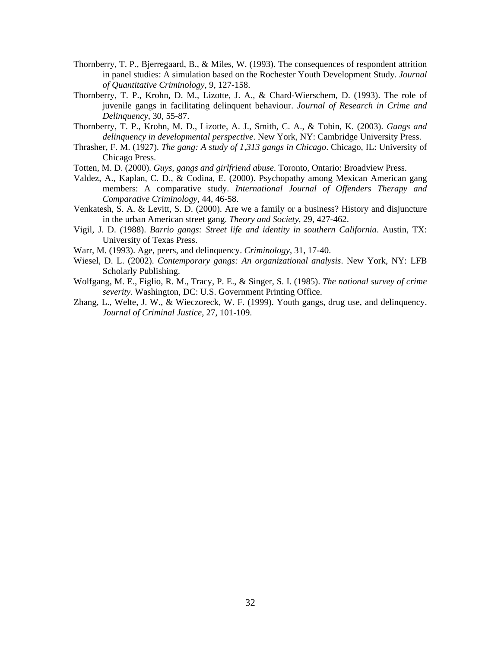- Thornberry, T. P., Bjerregaard, B., & Miles, W. (1993). The consequences of respondent attrition in panel studies: A simulation based on the Rochester Youth Development Study. *Journal of Quantitative Criminology*, 9, 127-158.
- Thornberry, T. P., Krohn, D. M., Lizotte, J. A., & Chard-Wierschem, D. (1993). The role of juvenile gangs in facilitating delinquent behaviour. *Journal of Research in Crime and Delinquency*, 30, 55-87.
- Thornberry, T. P., Krohn, M. D., Lizotte, A. J., Smith, C. A., & Tobin, K. (2003). *Gangs and delinquency in developmental perspective*. New York, NY: Cambridge University Press.
- Thrasher, F. M. (1927). *The gang: A study of 1,313 gangs in Chicago*. Chicago, IL: University of Chicago Press.
- Totten, M. D. (2000). *Guys, gangs and girlfriend abuse*. Toronto, Ontario: Broadview Press.
- Valdez, A., Kaplan, C. D., & Codina, E. (2000). Psychopathy among Mexican American gang members: A comparative study. *International Journal of Offenders Therapy and Comparative Criminology,* 44, 46-58.
- Venkatesh, S. A. & Levitt, S. D. (2000). Are we a family or a business? History and disjuncture in the urban American street gang. *Theory and Society*, 29, 427-462.
- Vigil, J. D. (1988). *Barrio gangs: Street life and identity in southern California*. Austin, TX: University of Texas Press.
- Warr, M. (1993). Age, peers, and delinquency. *Criminology*, 31, 17-40.
- Wiesel, D. L. (2002). *Contemporary gangs: An organizational analysis*. New York, NY: LFB Scholarly Publishing.
- Wolfgang, M. E., Figlio, R. M., Tracy, P. E., & Singer, S. I. (1985). *The national survey of crime severity*. Washington, DC: U.S. Government Printing Office.
- Zhang, L., Welte, J. W., & Wieczoreck, W. F. (1999). Youth gangs, drug use, and delinquency. *Journal of Criminal Justice*, 27, 101-109.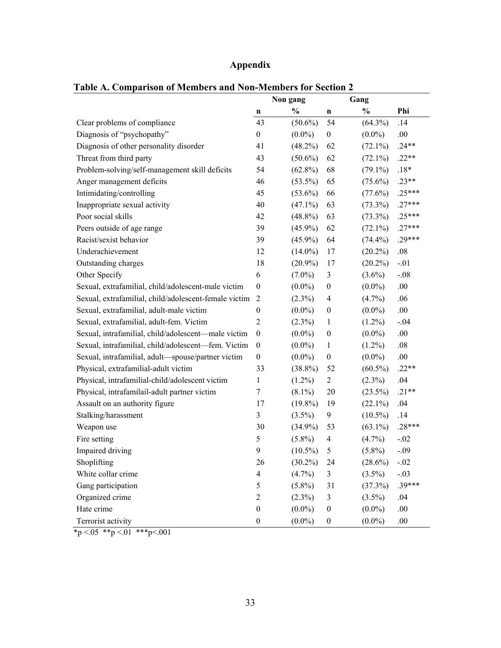## **Appendix**

|                                                       | Non gang                |               |                  | Gang          |          |
|-------------------------------------------------------|-------------------------|---------------|------------------|---------------|----------|
|                                                       | n                       | $\frac{0}{0}$ | n                | $\frac{0}{0}$ | Phi      |
| Clear problems of compliance                          | 43                      | $(50.6\%)$    | 54               | $(64.3\%)$    | .14      |
| Diagnosis of "psychopathy"                            | $\boldsymbol{0}$        | $(0.0\%)$     | $\boldsymbol{0}$ | $(0.0\%)$     | .00.     |
| Diagnosis of other personality disorder               | 41                      | $(48.2\%)$    | 62               | $(72.1\%)$    | $.24**$  |
| Threat from third party                               | 43                      | $(50.6\%)$    | 62               | $(72.1\%)$    | $.22**$  |
| Problem-solving/self-management skill deficits        | 54                      | $(62.8\%)$    | 68               | $(79.1\%)$    | $.18*$   |
| Anger management deficits                             | 46                      | $(53.5\%)$    | 65               | $(75.6\%)$    | $.23**$  |
| Intimidating/controlling                              | 45                      | $(53.6\%)$    | 66               | (77.6%)       | $.25***$ |
| Inappropriate sexual activity                         | 40                      | $(47.1\%)$    | 63               | $(73.3\%)$    | $.27***$ |
| Poor social skills                                    | 42                      | $(48.8\%)$    | 63               | $(73.3\%)$    | $.25***$ |
| Peers outside of age range                            | 39                      | $(45.9\%)$    | 62               | $(72.1\%)$    | $.27***$ |
| Racist/sexist behavior                                | 39                      | $(45.9\%)$    | 64               | $(74.4\%)$    | $.29***$ |
| Underachievement                                      | 12                      | $(14.0\%)$    | 17               | $(20.2\%)$    | $.08\,$  |
| Outstanding charges                                   | 18                      | $(20.9\%)$    | 17               | $(20.2\%)$    | $-.01$   |
| Other Specify                                         | 6                       | $(7.0\%)$     | 3                | $(3.6\%)$     | $-.08$   |
| Sexual, extrafamilial, child/adolescent-male victim   | $\boldsymbol{0}$        | $(0.0\%)$     | $\boldsymbol{0}$ | $(0.0\%)$     | .00.     |
| Sexual, extrafamilial, child/adolescent-female victim | $\overline{2}$          | $(2.3\%)$     | $\overline{4}$   | $(4.7\%)$     | .06      |
| Sexual, extrafamilial, adult-male victim              | $\boldsymbol{0}$        | $(0.0\%)$     | $\boldsymbol{0}$ | $(0.0\%)$     | .00.     |
| Sexual, extrafamilial, adult-fem. Victim              | $\overline{2}$          | $(2.3\%)$     | 1                | $(1.2\%)$     | $-.04$   |
| Sexual, intrafamilial, child/adolescent-male victim   | $\boldsymbol{0}$        | $(0.0\%)$     | $\boldsymbol{0}$ | $(0.0\%)$     | .00.     |
| Sexual, intrafamilial, child/adolescent-fem. Victim   | $\boldsymbol{0}$        | $(0.0\%)$     | 1                | $(1.2\%)$     | .08      |
| Sexual, intrafamilial, adult-spouse/partner victim    | $\boldsymbol{0}$        | $(0.0\%)$     | $\boldsymbol{0}$ | $(0.0\%)$     | .00.     |
| Physical, extrafamilial-adult victim                  | 33                      | $(38.8\%)$    | 52               | $(60.5\%)$    | $.22**$  |
| Physical, intrafamilial-child/adolescent victim       | 1                       | $(1.2\%)$     | $\overline{c}$   | $(2.3\%)$     | .04      |
| Physical, intrafamilail-adult partner victim          | 7                       | $(8.1\%)$     | 20               | $(23.5\%)$    | $.21**$  |
| Assault on an authority figure                        | 17                      | $(19.8\%)$    | 19               | $(22.1\%)$    | .04      |
| Stalking/harassment                                   | 3                       | $(3.5\%)$     | 9                | $(10.5\%)$    | .14      |
| Weapon use                                            | 30                      | $(34.9\%)$    | 53               | $(63.1\%)$    | $.28***$ |
| Fire setting                                          | 5                       | $(5.8\%)$     | 4                | $(4.7\%)$     | $-.02$   |
| Impaired driving                                      | 9                       | $(10.5\%)$    | 5                | $(5.8\%)$     | $-.09$   |
| Shoplifting                                           | 26                      | $(30.2\%)$    | 24               | $(28.6\%)$    | $-.02$   |
| White collar crime                                    | $\overline{\mathbf{4}}$ | $(4.7\%)$     | 3                | $(3.5\%)$     | $-.03$   |
| Gang participation                                    | 5                       | $(5.8\%)$     | 31               | (37.3%)       | .39***   |
| Organized crime                                       | $\overline{c}$          | $(2.3\%)$     | 3                | $(3.5\%)$     | .04      |
| Hate crime                                            | $\boldsymbol{0}$        | $(0.0\%)$     | $\boldsymbol{0}$ | $(0.0\%)$     | .00.     |
| Terrorist activity                                    | $\boldsymbol{0}$        | $(0.0\%)$     | $\boldsymbol{0}$ | $(0.0\%)$     | .00.     |

## **Table A. Comparison of Members and Non-Members for Section 2**

 $\frac{1}{2}$  \*p <.05 \*\*p <.01 \*\*\*p <.001